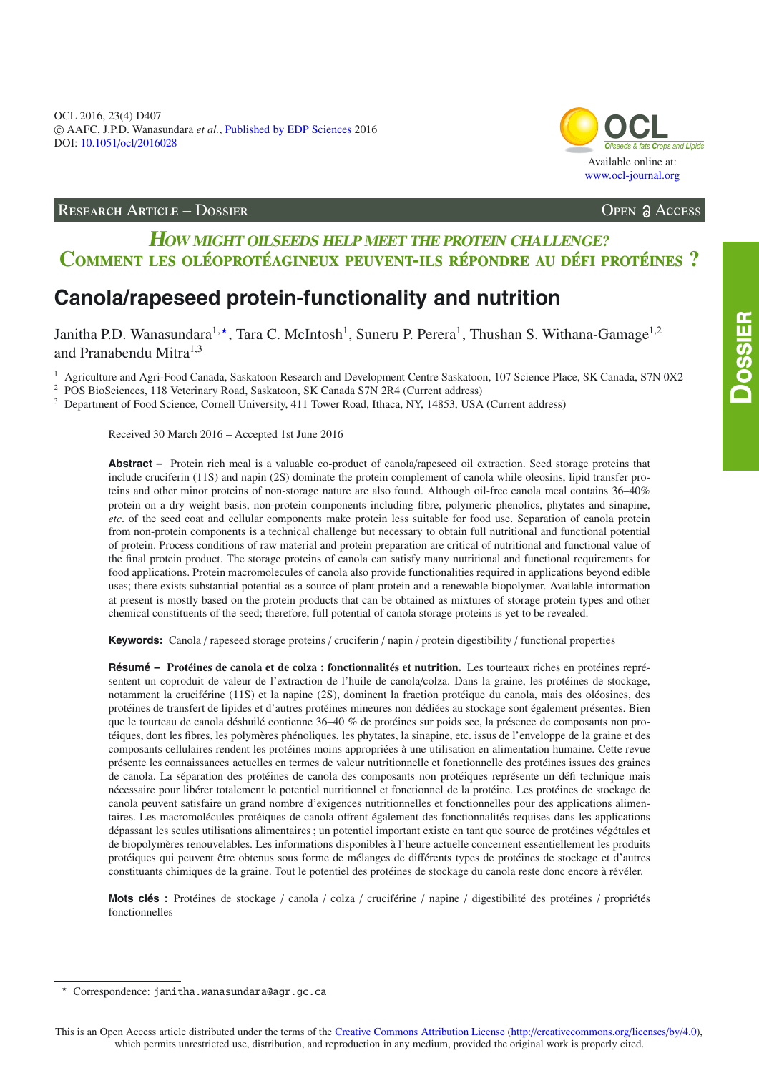

## RESEARCH ARTICLE – DOSSIER **Open ACCESS**

## **HOW MIGHT OILSEEDS HELP MEET THE PROTEIN CHALLENGE?** COMMENT LES OLÉOPROTÉAGINEUX PEUVENT-ILS RÉPONDRE AU DÉFI PROTÉINES ?

# **Canola/rapeseed protein-functionality and nutrition**

Janitha P.D. Wanasundara<sup>1,\*</sup>, Tara C. McIntosh<sup>1</sup>, Suneru P. Perera<sup>1</sup>, Thushan S. Withana-Gamage<sup>1,2</sup> and Pranabendu Mitra $1,3$ 

<sup>1</sup> Agriculture and Agri-Food Canada, Saskatoon Research and Development Centre Saskatoon, 107 Science Place, SK Canada, S7N 0X2

<sup>2</sup> POS BioSciences, 118 Veterinary Road, Saskatoon, SK Canada S7N 2R4 (Current address)

<sup>3</sup> Department of Food Science, Cornell University, 411 Tower Road, Ithaca, NY, 14853, USA (Current address)

Received 30 March 2016 – Accepted 1st June 2016

**Abstract –** Protein rich meal is a valuable co-product of canola/rapeseed oil extraction. Seed storage proteins that include cruciferin (11S) and napin (2S) dominate the protein complement of canola while oleosins, lipid transfer proteins and other minor proteins of non-storage nature are also found. Although oil-free canola meal contains 36–40% protein on a dry weight basis, non-protein components including fibre, polymeric phenolics, phytates and sinapine, *etc*. of the seed coat and cellular components make protein less suitable for food use. Separation of canola protein from non-protein components is a technical challenge but necessary to obtain full nutritional and functional potential of protein. Process conditions of raw material and protein preparation are critical of nutritional and functional value of the final protein product. The storage proteins of canola can satisfy many nutritional and functional requirements for food applications. Protein macromolecules of canola also provide functionalities required in applications beyond edible uses; there exists substantial potential as a source of plant protein and a renewable biopolymer. Available information at present is mostly based on the protein products that can be obtained as mixtures of storage protein types and other chemical constituents of the seed; therefore, full potential of canola storage proteins is yet to be revealed.

**Keywords:** Canola / rapeseed storage proteins / cruciferin / napin / protein digestibility / functional properties

**Résumé – Protéines de canola et de colza : fonctionnalités et nutrition.** Les tourteaux riches en protéines représentent un coproduit de valeur de l'extraction de l'huile de canola/colza. Dans la graine, les protéines de stockage, notamment la cruciférine (11S) et la napine (2S), dominent la fraction protéique du canola, mais des oléosines, des protéines de transfert de lipides et d'autres protéines mineures non dédiées au stockage sont également présentes. Bien que le tourteau de canola déshuilé contienne 36–40 % de protéines sur poids sec, la présence de composants non protéiques, dont les fibres, les polymères phénoliques, les phytates, la sinapine, etc. issus de l'enveloppe de la graine et des composants cellulaires rendent les protéines moins appropriées à une utilisation en alimentation humaine. Cette revue présente les connaissances actuelles en termes de valeur nutritionnelle et fonctionnelle des protéines issues des graines de canola. La séparation des protéines de canola des composants non protéiques représente un défi technique mais nécessaire pour libérer totalement le potentiel nutritionnel et fonctionnel de la protéine. Les protéines de stockage de canola peuvent satisfaire un grand nombre d'exigences nutritionnelles et fonctionnelles pour des applications alimentaires. Les macromolécules protéiques de canola offrent également des fonctionnalités requises dans les applications dépassant les seules utilisations alimentaires ; un potentiel important existe en tant que source de protéines végétales et de biopolymères renouvelables. Les informations disponibles à l'heure actuelle concernent essentiellement les produits protéiques qui peuvent être obtenus sous forme de mélanges de différents types de protéines de stockage et d'autres constituants chimiques de la graine. Tout le potentiel des protéines de stockage du canola reste donc encore à révéler.

**Mots clés :** Protéines de stockage / canola / colza / cruciférine / napine / digestibilité des protéines / propriétés fonctionnelles

**D**ossier

Correspondence: janitha.wanasundara@agr.gc.ca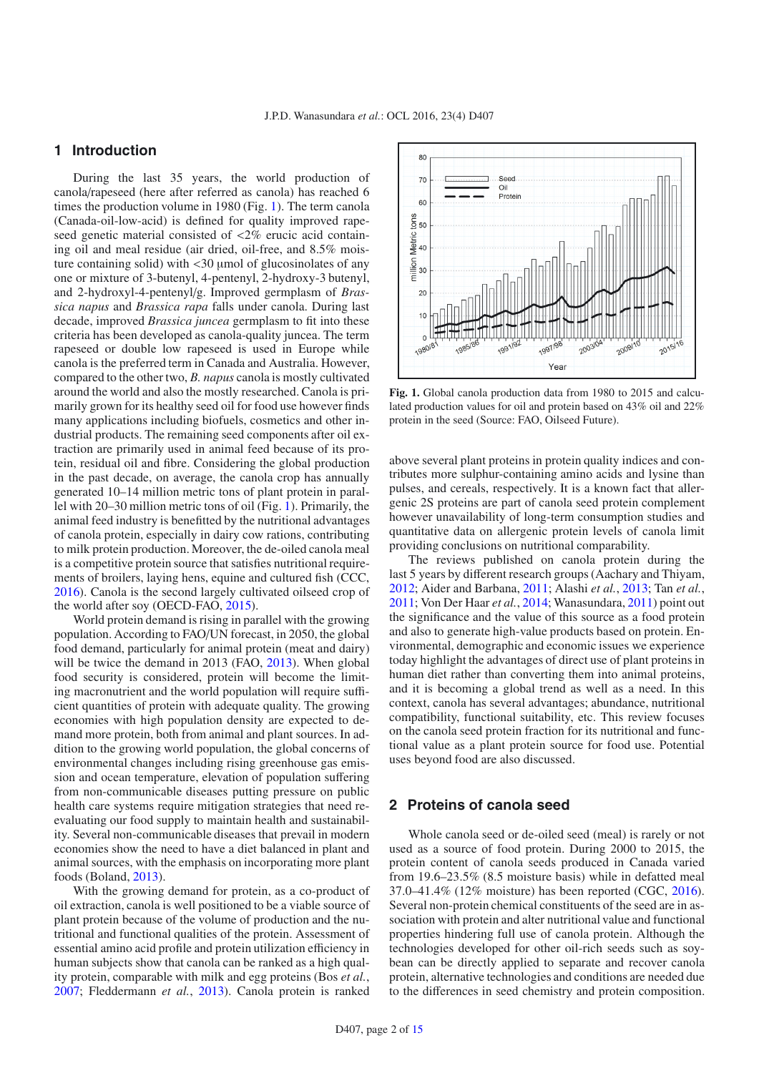## **1 Introduction**

During the last 35 years, the world production of canola/rapeseed (here after referred as canola) has reached 6 times the production volume in 1980 (Fig. [1\)](#page-1-0). The term canola (Canada-oil-low-acid) is defined for quality improved rapeseed genetic material consisted of <2% erucic acid containing oil and meal residue (air dried, oil-free, and 8.5% moisture containing solid) with  $\langle 30 \rangle$  umol of glucosinolates of any one or mixture of 3-butenyl, 4-pentenyl, 2-hydroxy-3 butenyl, and 2-hydroxyl-4-pentenyl/g. Improved germplasm of *Brassica napus* and *Brassica rapa* falls under canola. During last decade, improved *Brassica juncea* germplasm to fit into these criteria has been developed as canola-quality juncea. The term rapeseed or double low rapeseed is used in Europe while canola is the preferred term in Canada and Australia. However, compared to the other two, *B. napus* canola is mostly cultivated around the world and also the mostly researched. Canola is primarily grown for its healthy seed oil for food use however finds many applications including biofuels, cosmetics and other industrial products. The remaining seed components after oil extraction are primarily used in animal feed because of its protein, residual oil and fibre. Considering the global production in the past decade, on average, the canola crop has annually generated 10–14 million metric tons of plant protein in parallel with 20–30 million metric tons of oil (Fig. [1\)](#page-1-0). Primarily, the animal feed industry is benefitted by the nutritional advantages of canola protein, especially in dairy cow rations, contributing to milk protein production. Moreover, the de-oiled canola meal is a competitive protein source that satisfies nutritional requirements of broilers, laying hens, equine and cultured fish (CCC, [2016\)](#page-11-0). Canola is the second largely cultivated oilseed crop of the world after soy (OECD-FAO, [2015](#page-13-0)).

World protein demand is rising in parallel with the growing population. According to FAO/UN forecast, in 2050, the global food demand, particularly for animal protein (meat and dairy) will be twice the demand in [2013](#page-12-0) (FAO, 2013). When global food security is considered, protein will become the limiting macronutrient and the world population will require sufficient quantities of protein with adequate quality. The growing economies with high population density are expected to demand more protein, both from animal and plant sources. In addition to the growing world population, the global concerns of environmental changes including rising greenhouse gas emission and ocean temperature, elevation of population suffering from non-communicable diseases putting pressure on public health care systems require mitigation strategies that need reevaluating our food supply to maintain health and sustainability. Several non-communicable diseases that prevail in modern economies show the need to have a diet balanced in plant and animal sources, with the emphasis on incorporating more plant foods (Boland, [2013](#page-11-1)).

With the growing demand for protein, as a co-product of oil extraction, canola is well positioned to be a viable source of plant protein because of the volume of production and the nutritional and functional qualities of the protein. Assessment of essential amino acid profile and protein utilization efficiency in human subjects show that canola can be ranked as a high quality protein, comparable with milk and egg proteins (Bos *et al.*, [2007;](#page-11-2) Fleddermann *et al.*, [2013\)](#page-12-1). Canola protein is ranked

<span id="page-1-0"></span>

**Fig. 1.** Global canola production data from 1980 to 2015 and calculated production values for oil and protein based on 43% oil and 22% protein in the seed (Source: FAO, Oilseed Future).

above several plant proteins in protein quality indices and contributes more sulphur-containing amino acids and lysine than pulses, and cereals, respectively. It is a known fact that allergenic 2S proteins are part of canola seed protein complement however unavailability of long-term consumption studies and quantitative data on allergenic protein levels of canola limit providing conclusions on nutritional comparability.

The reviews published on canola protein during the last 5 years by different research groups (Aachary and Thiyam, [2012;](#page-11-3) Aider and Barbana, [2011](#page-11-4); Alashi *et al.*, [2013;](#page-11-5) Tan *et al.*, [2011;](#page-14-0) Von Der Haar *et al.*, [2014;](#page-14-1) Wanasundara, [2011\)](#page-14-2) point out the significance and the value of this source as a food protein and also to generate high-value products based on protein. Environmental, demographic and economic issues we experience today highlight the advantages of direct use of plant proteins in human diet rather than converting them into animal proteins, and it is becoming a global trend as well as a need. In this context, canola has several advantages; abundance, nutritional compatibility, functional suitability, etc. This review focuses on the canola seed protein fraction for its nutritional and functional value as a plant protein source for food use. Potential uses beyond food are also discussed.

## **2 Proteins of canola seed**

Whole canola seed or de-oiled seed (meal) is rarely or not used as a source of food protein. During 2000 to 2015, the protein content of canola seeds produced in Canada varied from 19.6–23.5% (8.5 moisture basis) while in defatted meal 37.0–41.4% (12% moisture) has been reported (CGC, [2016\)](#page-11-6). Several non-protein chemical constituents of the seed are in association with protein and alter nutritional value and functional properties hindering full use of canola protein. Although the technologies developed for other oil-rich seeds such as soybean can be directly applied to separate and recover canola protein, alternative technologies and conditions are needed due to the differences in seed chemistry and protein composition.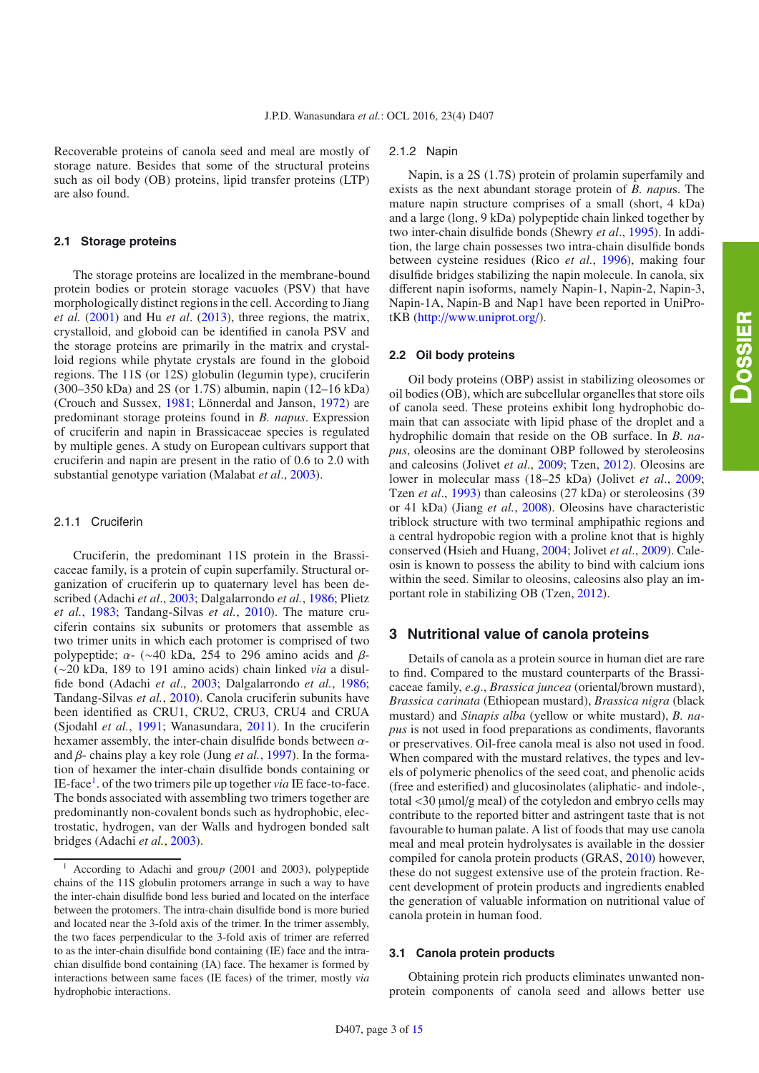Recoverable proteins of canola seed and meal are mostly of storage nature. Besides that some of the structural proteins such as oil body (OB) proteins, lipid transfer proteins (LTP) are also found.

#### **2.1 Storage proteins**

The storage proteins are localized in the membrane-bound protein bodies or protein storage vacuoles (PSV) that have morphologically distinct regions in the cell. According to Jiang *et al.* [\(2001](#page-12-2)) and Hu *et al*. [\(2013\)](#page-12-3), three regions, the matrix, crystalloid, and globoid can be identified in canola PSV and the storage proteins are primarily in the matrix and crystalloid regions while phytate crystals are found in the globoid regions. The 11S (or 12S) globulin (legumin type), cruciferin (300–350 kDa) and 2S (or 1.7S) albumin, napin (12–16 kDa) (Crouch and Sussex, [1981;](#page-11-7) Lönnerdal and Janson, [1972\)](#page-12-4) are predominant storage proteins found in *B. napus*. Expression of cruciferin and napin in Brassicaceae species is regulated by multiple genes. A study on European cultivars support that cruciferin and napin are present in the ratio of 0.6 to 2.0 with substantial genotype variation (Malabat *et al*., [2003\)](#page-12-5).

#### 2.1.1 Cruciferin

<span id="page-2-0"></span>Cruciferin, the predominant 11S protein in the Brassicaceae family, is a protein of cupin superfamily. Structural organization of cruciferin up to quaternary level has been described (Adachi *et al*., [2003;](#page-11-8) Dalgalarrondo *et al.*, [1986](#page-11-9); Plietz *et al.*, [1983;](#page-13-1) Tandang-Silvas *et al.*, [2010](#page-14-4)). The mature cruciferin contains six subunits or protomers that assemble as two trimer units in which each protomer is comprised of two polypeptide;  $\alpha$ - (∼40 kDa, 254 to 296 amino acids and  $\beta$ -(∼20 kDa, 189 to 191 amino acids) chain linked *via* a disulfide bond (Adachi *et al*., [2003;](#page-11-8) Dalgalarrondo *et al.*, [1986](#page-11-9); Tandang-Silvas *et al.*, [2010](#page-14-4)). Canola cruciferin subunits have been identified as CRU1, CRU2, CRU3, CRU4 and CRUA (Sjodahl *et al.*, [1991;](#page-14-5) Wanasundara, [2011\)](#page-14-2). In the cruciferin hexamer assembly, the inter-chain disulfide bonds between  $\alpha$ and β- chains play a key role (Jung *et al.*, [1997\)](#page-12-6). In the formation of hexamer the inter-chain disulfide bonds containing or IE-face[1.](#page-2-0) of the two trimers pile up together *via* IE face-to-face. The bonds associated with assembling two trimers together are predominantly non-covalent bonds such as hydrophobic, electrostatic, hydrogen, van der Walls and hydrogen bonded salt bridges (Adachi *et al.*, [2003\)](#page-11-8).

## 2.1.2 Napin

Napin, is a 2S (1.7S) protein of prolamin superfamily and exists as the next abundant storage protein of *B. napu*s. The mature napin structure comprises of a small (short, 4 kDa) and a large (long, 9 kDa) polypeptide chain linked together by two inter-chain disulfide bonds (Shewry *et al*., [1995\)](#page-13-2). In addition, the large chain possesses two intra-chain disulfide bonds between cysteine residues (Rico *et al.*, [1996\)](#page-13-3), making four disulfide bridges stabilizing the napin molecule. In canola, six different napin isoforms, namely Napin-1, Napin-2, Napin-3, Napin-1A, Napin-B and Nap1 have been reported in UniProtKB (http://[www.uniprot.org](http://www.uniprot.org/)/).

### **2.2 Oil body proteins**

Oil body proteins (OBP) assist in stabilizing oleosomes or oil bodies (OB), which are subcellular organelles that store oils of canola seed. These proteins exhibit long hydrophobic domain that can associate with lipid phase of the droplet and a hydrophilic domain that reside on the OB surface. In *B. napus*, oleosins are the dominant OBP followed by steroleosins and caleosins (Jolivet *et al*., [2009;](#page-12-7) Tzen, [2012\)](#page-14-6). Oleosins are lower in molecular mass (18–25 kDa) (Jolivet *et al*., [2009;](#page-12-7) Tzen *et al*., [1993\)](#page-14-7) than caleosins (27 kDa) or steroleosins (39 or 41 kDa) (Jiang *et al.*, [2008\)](#page-12-8). Oleosins have characteristic triblock structure with two terminal amphipathic regions and a central hydropobic region with a proline knot that is highly conserved (Hsieh and Huang, [2004;](#page-12-9) Jolivet *et al*., [2009](#page-12-7)). Caleosin is known to possess the ability to bind with calcium ions within the seed. Similar to oleosins, caleosins also play an important role in stabilizing OB (Tzen, [2012\)](#page-14-6).

## **3 Nutritional value of canola proteins**

Details of canola as a protein source in human diet are rare to find. Compared to the mustard counterparts of the Brassicaceae family, *<sup>e</sup>*.g., *Brassica juncea* (oriental/brown mustard), *Brassica carinata* (Ethiopean mustard), *Brassica nigra* (black mustard) and *Sinapis alba* (yellow or white mustard), *B. napus* is not used in food preparations as condiments, flavorants or preservatives. Oil-free canola meal is also not used in food. When compared with the mustard relatives, the types and levels of polymeric phenolics of the seed coat, and phenolic acids (free and esterified) and glucosinolates (aliphatic- and indole-, total <<sup>30</sup> <sup>µ</sup>mol/g meal) of the cotyledon and embryo cells may contribute to the reported bitter and astringent taste that is not favourable to human palate. A list of foods that may use canola meal and meal protein hydrolysates is available in the dossier compiled for canola protein products (GRAS, [2010\)](#page-12-10) however, these do not suggest extensive use of the protein fraction. Recent development of protein products and ingredients enabled the generation of valuable information on nutritional value of canola protein in human food.

#### **3.1 Canola protein products**

Obtaining protein rich products eliminates unwanted nonprotein components of canola seed and allows better use

<sup>1</sup> According to Adachi and grou*p* (2001 and 2003), polypeptide chains of the 11S globulin protomers arrange in such a way to have the inter-chain disulfide bond less buried and located on the interface between the protomers. The intra-chain disulfide bond is more buried and located near the 3-fold axis of the trimer. In the trimer assembly, the two faces perpendicular to the 3-fold axis of trimer are referred to as the inter-chain disulfide bond containing (IE) face and the intrachian disulfide bond containing (IA) face. The hexamer is formed by interactions between same faces (IE faces) of the trimer, mostly *via* hydrophobic interactions.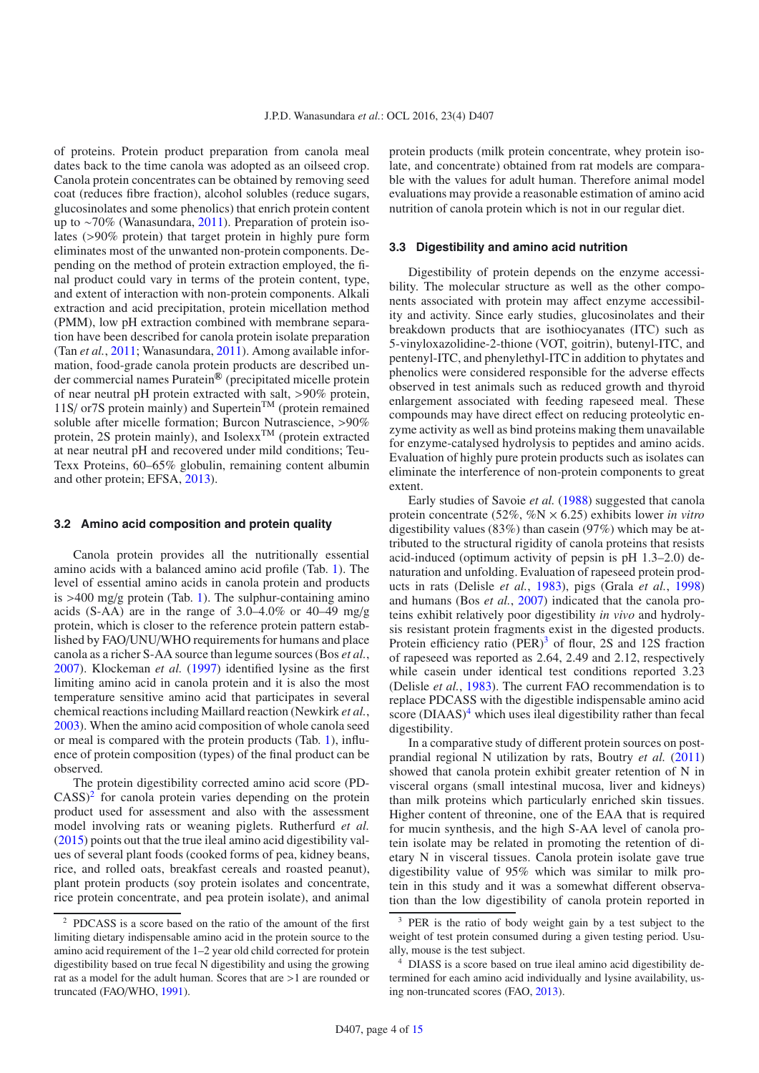of proteins. Protein product preparation from canola meal dates back to the time canola was adopted as an oilseed crop. Canola protein concentrates can be obtained by removing seed coat (reduces fibre fraction), alcohol solubles (reduce sugars, glucosinolates and some phenolics) that enrich protein content up to ∼70% (Wanasundara, [2011\)](#page-14-2). Preparation of protein isolates (>90% protein) that target protein in highly pure form eliminates most of the unwanted non-protein components. Depending on the method of protein extraction employed, the final product could vary in terms of the protein content, type, and extent of interaction with non-protein components. Alkali extraction and acid precipitation, protein micellation method (PMM), low pH extraction combined with membrane separation have been described for canola protein isolate preparation (Tan *et al.*, [2011;](#page-14-0) Wanasundara, [2011\)](#page-14-2). Among available information, food-grade canola protein products are described under commercial names Puratein® (precipitated micelle protein of near neutral pH protein extracted with salt, >90% protein, 11S/ or 7S protein mainly) and Supertein<sup>TM</sup> (protein remained soluble after micelle formation; Burcon Nutrascience, >90%<br>protein, 2S protein mainly), and Isolexx™ (protein extracted at near neutral pH and recovered under mild conditions; Teu-Texx Proteins, 60–65% globulin, remaining content albumin and other protein; EFSA, [2013](#page-12-11)).

#### **3.2 Amino acid composition and protein quality**

Canola protein provides all the nutritionally essential amino acids with a balanced amino acid profile (Tab. [1\)](#page-1-0). The level of essential amino acids in canola protein and products is  $>400$  mg/g protein (Tab. [1\)](#page-4-0). The sulphur-containing amino acids (S-AA) are in the range of 3.0–4.0% or 40–49 mg/g protein, which is closer to the reference protein pattern established by FAO/UNU/WHO requirements for humans and place canola as a richer S-AA source than legume sources (Bos *et al.*, [2007\)](#page-11-2). Klockeman *et al.* [\(1997](#page-12-12)) identified lysine as the first limiting amino acid in canola protein and it is also the most temperature sensitive amino acid that participates in several chemical reactions including Maillard reaction (Newkirk *et al.*, [2003\)](#page-13-4). When the amino acid composition of whole canola seed or meal is compared with the protein products (Tab. [1\)](#page-4-0), influence of protein composition (types) of the final product can be observed.

<span id="page-3-0"></span>The protein digestibility corrected amino acid score (PD- $CASS)^2$  $CASS)^2$  for canola protein varies depending on the protein product used for assessment and also with the assessment model involving rats or weaning piglets. Rutherfurd *et al.* [\(2015\)](#page-13-5) points out that the true ileal amino acid digestibility values of several plant foods (cooked forms of pea, kidney beans, rice, and rolled oats, breakfast cereals and roasted peanut), plant protein products (soy protein isolates and concentrate, rice protein concentrate, and pea protein isolate), and animal protein products (milk protein concentrate, whey protein isolate, and concentrate) obtained from rat models are comparable with the values for adult human. Therefore animal model evaluations may provide a reasonable estimation of amino acid nutrition of canola protein which is not in our regular diet.

#### **3.3 Digestibility and amino acid nutrition**

Digestibility of protein depends on the enzyme accessibility. The molecular structure as well as the other components associated with protein may affect enzyme accessibility and activity. Since early studies, glucosinolates and their breakdown products that are isothiocyanates (ITC) such as 5-vinyloxazolidine-2-thione (VOT, goitrin), butenyl-ITC, and pentenyl-ITC, and phenylethyl-ITC in addition to phytates and phenolics were considered responsible for the adverse effects observed in test animals such as reduced growth and thyroid enlargement associated with feeding rapeseed meal. These compounds may have direct effect on reducing proteolytic enzyme activity as well as bind proteins making them unavailable for enzyme-catalysed hydrolysis to peptides and amino acids. Evaluation of highly pure protein products such as isolates can eliminate the interference of non-protein components to great extent.

Early studies of Savoie *et al.* [\(1988\)](#page-13-6) suggested that canola protein concentrate (52%, %N <sup>×</sup> <sup>6</sup>.25) exhibits lower *in vitro* digestibility values (83%) than casein (97%) which may be attributed to the structural rigidity of canola proteins that resists acid-induced (optimum activity of pepsin is pH 1.3–2.0) denaturation and unfolding. Evaluation of rapeseed protein products in rats (Delisle *et al.*, [1983\)](#page-12-14), pigs (Grala *et al.*, [1998\)](#page-12-15) and humans (Bos *et al.*, [2007\)](#page-11-2) indicated that the canola proteins exhibit relatively poor digestibility *in vivo* and hydrolysis resistant protein fragments exist in the digested products. Protein efficiency ratio  $(PER)^3$  $(PER)^3$  of flour, 2S and 12S fraction of rapeseed was reported as 2.64, 2.49 and 2.12, respectively while casein under identical test conditions reported 3.23 (Delisle *et al.*, [1983\)](#page-12-14). The current FAO recommendation is to replace PDCASS with the digestible indispensable amino acid score  $(DIAS)^4$  $(DIAS)^4$  which uses ileal digestibility rather than fecal digestibility.

<span id="page-3-2"></span><span id="page-3-1"></span>In a comparative study of different protein sources on postprandial regional N utilization by rats, Boutry *et al.* [\(2011\)](#page-11-10) showed that canola protein exhibit greater retention of N in visceral organs (small intestinal mucosa, liver and kidneys) than milk proteins which particularly enriched skin tissues. Higher content of threonine, one of the EAA that is required for mucin synthesis, and the high S-AA level of canola protein isolate may be related in promoting the retention of dietary N in visceral tissues. Canola protein isolate gave true digestibility value of 95% which was similar to milk protein in this study and it was a somewhat different observation than the low digestibility of canola protein reported in

<sup>2</sup> PDCASS is a score based on the ratio of the amount of the first limiting dietary indispensable amino acid in the protein source to the amino acid requirement of the 1–2 year old child corrected for protein digestibility based on true fecal N digestibility and using the growing rat as a model for the adult human. Scores that are >1 are rounded or truncated (FAO/WHO, [1991](#page-12-13)).

PER is the ratio of body weight gain by a test subject to the weight of test protein consumed during a given testing period. Usually, mouse is the test subject.

<sup>4</sup> DIASS is a score based on true ileal amino acid digestibility determined for each amino acid individually and lysine availability, using non-truncated scores (FAO, [2013](#page-12-0)).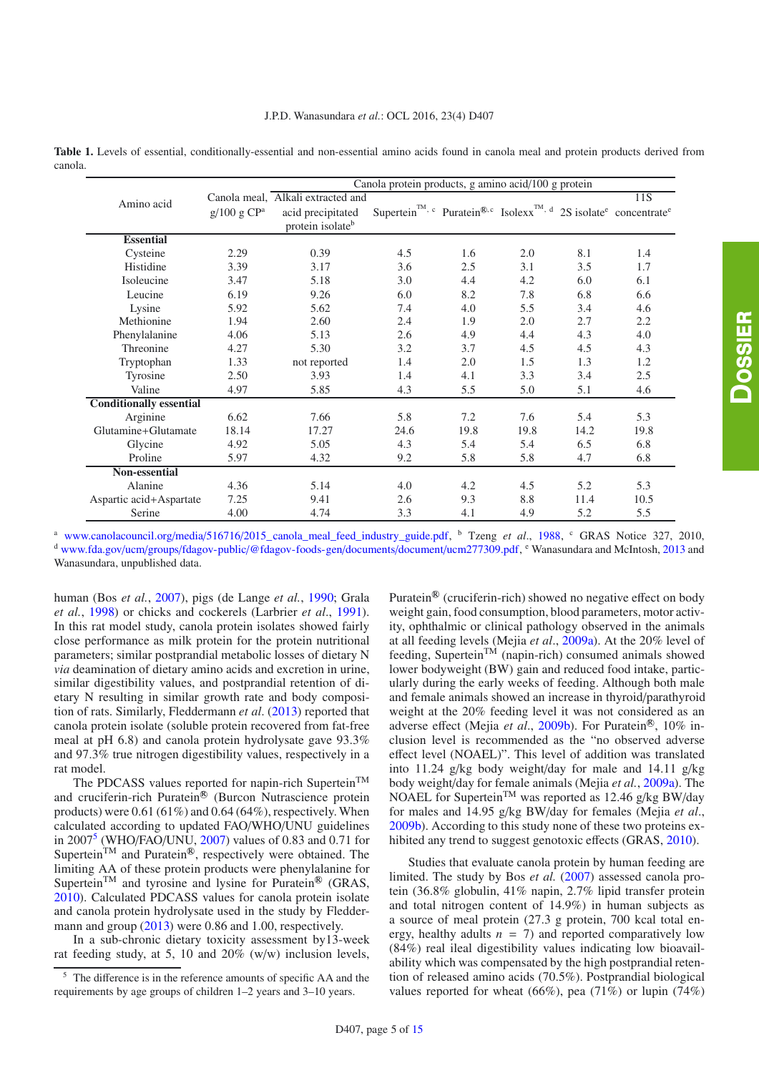#### J.P.D. Wanasundara *et al.*: OCL 2016, 23(4) D407

|                                | Canola protein products, g amino acid/100 g protein |                              |                                                                                                                                  |      |      |      |      |  |
|--------------------------------|-----------------------------------------------------|------------------------------|----------------------------------------------------------------------------------------------------------------------------------|------|------|------|------|--|
| Amino acid                     | Canola meal, Alkali extracted and                   |                              |                                                                                                                                  |      |      |      | 11S  |  |
|                                | $g/100$ g $CPa$                                     | acid precipitated            | Supertein <sup>TM</sup> , c Puratein <sup>®</sup> , c Isolexx <sup>TM</sup> , d 2S isolate <sup>e</sup> concentrate <sup>e</sup> |      |      |      |      |  |
|                                |                                                     | protein isolate <sup>b</sup> |                                                                                                                                  |      |      |      |      |  |
| <b>Essential</b>               |                                                     |                              |                                                                                                                                  |      |      |      |      |  |
| Cysteine                       | 2.29                                                | 0.39                         | 4.5                                                                                                                              | 1.6  | 2.0  | 8.1  | 1.4  |  |
| Histidine                      | 3.39                                                | 3.17                         | 3.6                                                                                                                              | 2.5  | 3.1  | 3.5  | 1.7  |  |
| Isoleucine                     | 3.47                                                | 5.18                         | 3.0                                                                                                                              | 4.4  | 4.2  | 6.0  | 6.1  |  |
| Leucine                        | 6.19                                                | 9.26                         | 6.0                                                                                                                              | 8.2  | 7.8  | 6.8  | 6.6  |  |
| Lysine                         | 5.92                                                | 5.62                         | 7.4                                                                                                                              | 4.0  | 5.5  | 3.4  | 4.6  |  |
| Methionine                     | 1.94                                                | 2.60                         | 2.4                                                                                                                              | 1.9  | 2.0  | 2.7  | 2.2  |  |
| Phenylalanine                  | 4.06                                                | 5.13                         | 2.6                                                                                                                              | 4.9  | 4.4  | 4.3  | 4.0  |  |
| Threonine                      | 4.27                                                | 5.30                         | 3.2                                                                                                                              | 3.7  | 4.5  | 4.5  | 4.3  |  |
| Tryptophan                     | 1.33                                                | not reported                 | 1.4                                                                                                                              | 2.0  | 1.5  | 1.3  | 1.2  |  |
| Tyrosine                       | 2.50                                                | 3.93                         | 1.4                                                                                                                              | 4.1  | 3.3  | 3.4  | 2.5  |  |
| Valine                         | 4.97                                                | 5.85                         | 4.3                                                                                                                              | 5.5  | 5.0  | 5.1  | 4.6  |  |
| <b>Conditionally essential</b> |                                                     |                              |                                                                                                                                  |      |      |      |      |  |
| Arginine                       | 6.62                                                | 7.66                         | 5.8                                                                                                                              | 7.2  | 7.6  | 5.4  | 5.3  |  |
| Glutamine+Glutamate            | 18.14                                               | 17.27                        | 24.6                                                                                                                             | 19.8 | 19.8 | 14.2 | 19.8 |  |
| Glycine                        | 4.92                                                | 5.05                         | 4.3                                                                                                                              | 5.4  | 5.4  | 6.5  | 6.8  |  |
| Proline                        | 5.97                                                | 4.32                         | 9.2                                                                                                                              | 5.8  | 5.8  | 4.7  | 6.8  |  |
| <b>Non-essential</b>           |                                                     |                              |                                                                                                                                  |      |      |      |      |  |
| Alanine                        | 4.36                                                | 5.14                         | 4.0                                                                                                                              | 4.2  | 4.5  | 5.2  | 5.3  |  |
| Aspartic acid+Aspartate        | 7.25                                                | 9.41                         | 2.6                                                                                                                              | 9.3  | 8.8  | 11.4 | 10.5 |  |
| Serine                         | 4.00                                                | 4.74                         | 3.3                                                                                                                              | 4.1  | 4.9  | 5.2  | 5.5  |  |

<span id="page-4-0"></span>**Table 1.** Levels of essential, conditionally-essential and non-essential amino acids found in canola meal and protein products derived from canola.

<sup>a</sup> www.canolacouncil.org/media/516716/[2015\\_canola\\_meal\\_feed\\_industry\\_guide.pdf,](www.canolacouncil.org/media/516716/2015_canola_meal_feed_industry_guide.pdf) <sup>b</sup> Tzeng *et al.*, [1988](#page-14-8), <sup>c</sup> GRAS Notice 327, 2010, <sup>d</sup> www.fda.gov/ucm/groups/fdagov-public/[@fdagov-foods-gen](www.fda.gov/ucm/groups/fdagov-public/@fdagov-foods-gen/documents/document/ucm277309.pdf)/documents/document/ucm277309.pdf, <sup>e</sup> Wanasundara and McIntosh, [2013](#page-14-9) and Wanasundara, unpublished data.

human (Bos *et al.*, [2007\)](#page-11-2), pigs (de Lange *et al.*, [1990;](#page-12-16) Grala *et al.*, [1998\)](#page-12-15) or chicks and cockerels (Larbrier *et al*., [1991](#page-12-17)). In this rat model study, canola protein isolates showed fairly close performance as milk protein for the protein nutritional parameters; similar postprandial metabolic losses of dietary N *via* deamination of dietary amino acids and excretion in urine, similar digestibility values, and postprandial retention of dietary N resulting in similar growth rate and body composition of rats. Similarly, Fleddermann *et al*. [\(2013\)](#page-12-1) reported that canola protein isolate (soluble protein recovered from fat-free meal at pH 6.8) and canola protein hydrolysate gave 93.3% and 97.3% true nitrogen digestibility values, respectively in a rat model.

<span id="page-4-1"></span>The PDCASS values reported for napin-rich Supertein<sup>TM</sup> and cruciferin-rich Puratein<sup>®</sup> (Burcon Nutrascience protein products) were 0.61 (61%) and 0.64 (64%), respectively. When calculated according to updated FAO/WHO/UNU guidelines in  $2007<sup>5</sup>$  $2007<sup>5</sup>$  $2007<sup>5</sup>$  (WHO/FAO/UNU,  $2007$ ) values of 0.83 and 0.71 for Supertein<sup>TM</sup> and Puratein<sup>®</sup>, respectively were obtained. The limiting AA of these protein products were phenylalanine for Supertein<sup>TM</sup> and tyrosine and lysine for Puratein® (GRAS, [2010\)](#page-12-10). Calculated PDCASS values for canola protein isolate and canola protein hydrolysate used in the study by Fleddermann and group [\(2013\)](#page-12-1) were 0.86 and 1.00, respectively.

In a sub-chronic dietary toxicity assessment by13-week rat feeding study, at 5, 10 and 20% (w/w) inclusion levels,

Puratein® (cruciferin-rich) showed no negative effect on body weight gain, food consumption, blood parameters, motor activity, ophthalmic or clinical pathology observed in the animals at all feeding levels (Mejia *et al*., [2009a\)](#page-13-7). At the 20% level of feeding, Supertein<sup>TM</sup> (napin-rich) consumed animals showed lower bodyweight (BW) gain and reduced food intake, particularly during the early weeks of feeding. Although both male and female animals showed an increase in thyroid/parathyroid weight at the 20% feeding level it was not considered as an adverse effect (Mejia et al., [2009b](#page-13-8)). For Puratein<sup>®</sup>, 10% inclusion level is recommended as the "no observed adverse effect level (NOAEL)". This level of addition was translated into 11.24 g/kg body weight/day for male and 14.11 g/kg body weight/day for female animals (Mejia *et al.*, [2009a](#page-13-7)). The NOAEL for Supertein<sup>TM</sup> was reported as 12.46 g/kg BW/day for males and 14.95 g/kg BW/day for females (Mejia *et al*., [2009b\)](#page-13-8). According to this study none of these two proteins exhibited any trend to suggest genotoxic effects (GRAS, [2010\)](#page-12-10).

Studies that evaluate canola protein by human feeding are limited. The study by Bos *et al.* [\(2007\)](#page-11-2) assessed canola protein (36.8% globulin, 41% napin, 2.7% lipid transfer protein and total nitrogen content of 14.9%) in human subjects as a source of meal protein (27.3 g protein, 700 kcal total energy, healthy adults  $n = 7$ ) and reported comparatively low (84%) real ileal digestibility values indicating low bioavailability which was compensated by the high postprandial retention of released amino acids (70.5%). Postprandial biological values reported for wheat (66%), pea (71%) or lupin (74%)

 $\frac{5}{10}$  The difference is in the reference amounts of specific AA and the requirements by age groups of children 1–2 years and 3–10 years.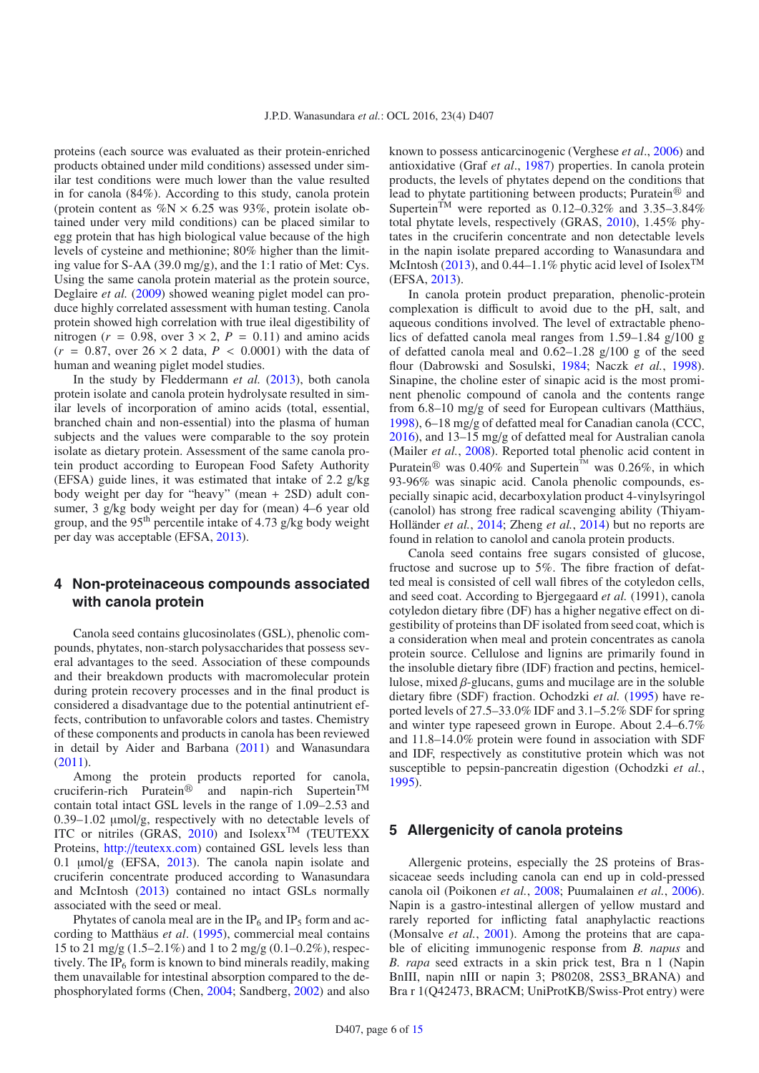proteins (each source was evaluated as their protein-enriched products obtained under mild conditions) assessed under similar test conditions were much lower than the value resulted in for canola (84%). According to this study, canola protein (protein content as  $\%N \times 6.25$  was 93%, protein isolate obtained under very mild conditions) can be placed similar to egg protein that has high biological value because of the high levels of cysteine and methionine; 80% higher than the limiting value for S-AA (39.0 mg/g), and the 1:1 ratio of Met: Cys. Using the same canola protein material as the protein source, Deglaire *et al.* [\(2009\)](#page-12-18) showed weaning piglet model can produce highly correlated assessment with human testing. Canola protein showed high correlation with true ileal digestibility of nitrogen ( $r = 0.98$ , over  $3 \times 2$ ,  $P = 0.11$ ) and amino acids  $(r = 0.87,$  over  $26 \times 2$  data,  $P < 0.0001$ ) with the data of human and weaning piglet model studies.

In the study by Fleddermann *et al.* [\(2013\)](#page-12-1), both canola protein isolate and canola protein hydrolysate resulted in similar levels of incorporation of amino acids (total, essential, branched chain and non-essential) into the plasma of human subjects and the values were comparable to the soy protein isolate as dietary protein. Assessment of the same canola protein product according to European Food Safety Authority (EFSA) guide lines, it was estimated that intake of 2.2 g/kg body weight per day for "heavy" (mean + 2SD) adult consumer, 3 g/kg body weight per day for (mean) 4–6 year old group, and the 95<sup>th</sup> percentile intake of 4.73 g/kg body weight per day was acceptable (EFSA, [2013\)](#page-12-11).

## **4 Non-proteinaceous compounds associated with canola protein**

Canola seed contains glucosinolates (GSL), phenolic compounds, phytates, non-starch polysaccharides that possess several advantages to the seed. Association of these compounds and their breakdown products with macromolecular protein during protein recovery processes and in the final product is considered a disadvantage due to the potential antinutrient effects, contribution to unfavorable colors and tastes. Chemistry of these components and products in canola has been reviewed in detail by Aider and Barbana [\(2011\)](#page-11-4) and Wanasundara [\(2011\)](#page-14-2).

Among the protein products reported for canola, eiferin-rich Puratein<sup>®</sup> and napin-rich Supertein<sup>TM</sup> cruciferin-rich Puratein<sup>®</sup> and napin-rich Supertein<sup>TM</sup> contain total intact GSL levels in the range of 1.09–2.53 and 0.39–1.02 µmol/g, respectively with no detectable levels of ITC or nitriles (GRAS, [2010\)](#page-12-10) and Isolexx<sup>TM</sup> (TEUTEXX Proteins, http://[teutexx.com\)](http://teutexx.com) contained GSL levels less than 0.1 µmol/g (EFSA, [2013\)](#page-12-11). The canola napin isolate and cruciferin concentrate produced according to Wanasundara and McIntosh [\(2013\)](#page-14-9) contained no intact GSLs normally associated with the seed or meal.

Phytates of canola meal are in the  $IP_6$  and  $IP_5$  form and according to Matthäus *et al*. [\(1995\)](#page-13-9), commercial meal contains 15 to 21 mg/g (1.5–2.1%) and 1 to 2 mg/g (0.1–0.2%), respectively. The  $IP_6$  form is known to bind minerals readily, making them unavailable for intestinal absorption compared to the dephosphorylated forms (Chen, [2004;](#page-11-11) Sandberg, [2002\)](#page-13-10) and also known to possess anticarcinogenic (Verghese *et al*., [2006\)](#page-14-11) and antioxidative (Graf *et al*., [1987\)](#page-12-19) properties. In canola protein products, the levels of phytates depend on the conditions that lead to phytate partitioning between products; Puratein<sup>®</sup> and Supertein<sup>TM</sup> were reported as  $0.12 - 0.32\%$  and  $3.35 - 3.84\%$ total phytate levels, respectively (GRAS, [2010\)](#page-12-10), 1.45% phytates in the cruciferin concentrate and non detectable levels in the napin isolate prepared according to Wanasundara and McIntosh [\(2013](#page-14-9)), and 0.44–1.1% phytic acid level of Isolex<sup>TM</sup> (EFSA, [2013\)](#page-12-11).

In canola protein product preparation, phenolic-protein complexation is difficult to avoid due to the pH, salt, and aqueous conditions involved. The level of extractable phenolics of defatted canola meal ranges from 1.59–1.84 g/100 g of defatted canola meal and 0.62–1.28 g/100 g of the seed flour (Dabrowski and Sosulski, [1984](#page-11-12); Naczk *et al.*, [1998\)](#page-13-11). Sinapine, the choline ester of sinapic acid is the most prominent phenolic compound of canola and the contents range from 6.8–10 mg/g of seed for European cultivars (Matthäus, [1998\)](#page-13-12), 6–18 mg/g of defatted meal for Canadian canola (CCC, [2016\)](#page-11-0), and 13–15 mg/g of defatted meal for Australian canola (Mailer *et al.*, [2008\)](#page-12-20). Reported total phenolic acid content in Puratein<sup>®</sup> was 0.40% and Supertein<sup>™</sup> was 0.26%, in which 93-96% was sinapic acid. Canola phenolic compounds, especially sinapic acid, decarboxylation product 4-vinylsyringol (canolol) has strong free radical scavenging ability (Thiyam-Holländer *et al.*, [2014;](#page-14-12) Zheng *et al.*, [2014\)](#page-14-13) but no reports are found in relation to canolol and canola protein products.

Canola seed contains free sugars consisted of glucose, fructose and sucrose up to 5%. The fibre fraction of defatted meal is consisted of cell wall fibres of the cotyledon cells, and seed coat. According to Bjergegaard *et al.* (1991), canola cotyledon dietary fibre (DF) has a higher negative effect on digestibility of proteins than DF isolated from seed coat, which is a consideration when meal and protein concentrates as canola protein source. Cellulose and lignins are primarily found in the insoluble dietary fibre (IDF) fraction and pectins, hemicellulose, mixed  $\beta$ -glucans, gums and mucilage are in the soluble dietary fibre (SDF) fraction. Ochodzki *et al.* [\(1995](#page-13-13)) have reported levels of 27.5–33.0% IDF and 3.1–5.2% SDF for spring and winter type rapeseed grown in Europe. About 2.4–6.7% and 11.8–14.0% protein were found in association with SDF and IDF, respectively as constitutive protein which was not susceptible to pepsin-pancreatin digestion (Ochodzki *et al.*, [1995\)](#page-13-13).

## **5 Allergenicity of canola proteins**

Allergenic proteins, especially the 2S proteins of Brassicaceae seeds including canola can end up in cold-pressed canola oil (Poikonen *et al.*, [2008](#page-13-14); Puumalainen *et al.*, [2006\)](#page-13-15). Napin is a gastro-intestinal allergen of yellow mustard and rarely reported for inflicting fatal anaphylactic reactions (Monsalve *et al.*, [2001\)](#page-13-16). Among the proteins that are capable of eliciting immunogenic response from *B. napus* and *B. rapa* seed extracts in a skin prick test, Bra n 1 (Napin BnIII, napin nIII or napin 3; P80208, 2SS3\_BRANA) and Bra r 1(Q42473, BRACM; UniProtKB/Swiss-Prot entry) were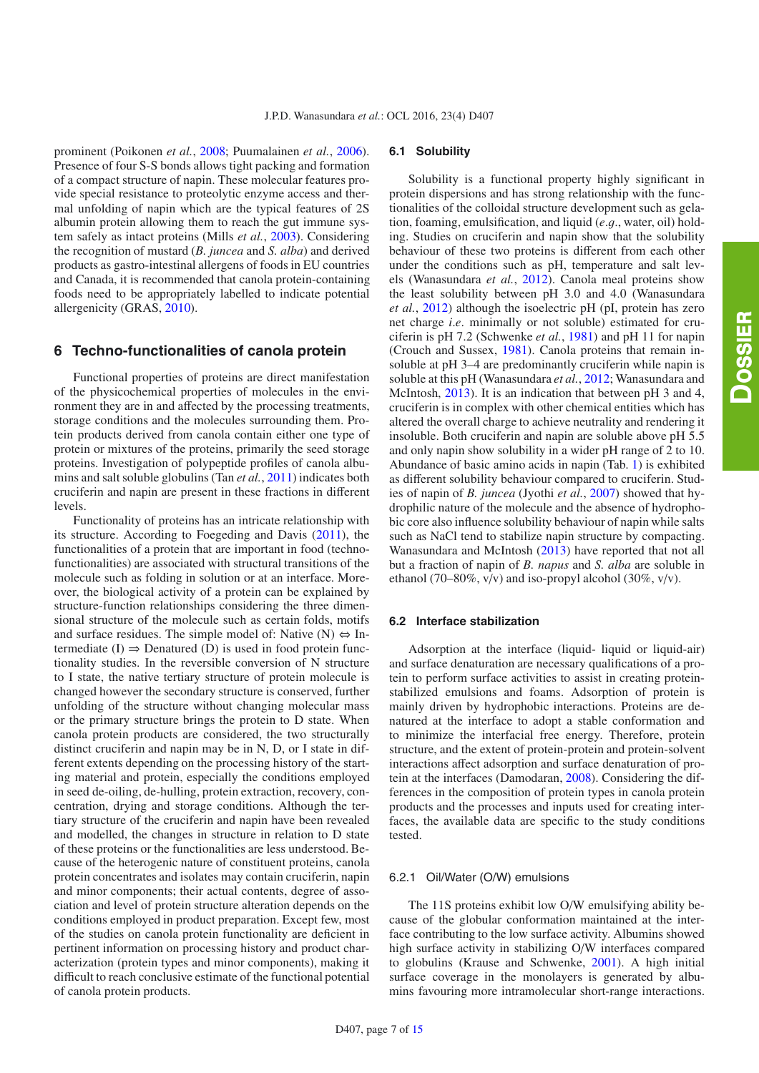prominent (Poikonen *et al.*, [2008;](#page-13-14) Puumalainen *et al.*, [2006](#page-13-15)). Presence of four S-S bonds allows tight packing and formation of a compact structure of napin. These molecular features provide special resistance to proteolytic enzyme access and thermal unfolding of napin which are the typical features of 2S albumin protein allowing them to reach the gut immune system safely as intact proteins (Mills *et al.*, [2003\)](#page-13-17). Considering the recognition of mustard (*B. juncea* and *S. alba*) and derived products as gastro-intestinal allergens of foods in EU countries and Canada, it is recommended that canola protein-containing foods need to be appropriately labelled to indicate potential allergenicity (GRAS, [2010\)](#page-12-10).

## **6 Techno-functionalities of canola protein**

Functional properties of proteins are direct manifestation of the physicochemical properties of molecules in the environment they are in and affected by the processing treatments, storage conditions and the molecules surrounding them. Protein products derived from canola contain either one type of protein or mixtures of the proteins, primarily the seed storage proteins. Investigation of polypeptide profiles of canola albumins and salt soluble globulins (Tan *et al.*, [2011\)](#page-14-0) indicates both cruciferin and napin are present in these fractions in different levels.

Functionality of proteins has an intricate relationship with its structure. According to Foegeding and Davis [\(2011](#page-12-21)), the functionalities of a protein that are important in food (technofunctionalities) are associated with structural transitions of the molecule such as folding in solution or at an interface. Moreover, the biological activity of a protein can be explained by structure-function relationships considering the three dimensional structure of the molecule such as certain folds, motifs and surface residues. The simple model of: Native (N)  $\Leftrightarrow$  Intermediate (I)  $\Rightarrow$  Denatured (D) is used in food protein functionality studies. In the reversible conversion of N structure to I state, the native tertiary structure of protein molecule is changed however the secondary structure is conserved, further unfolding of the structure without changing molecular mass or the primary structure brings the protein to D state. When canola protein products are considered, the two structurally distinct cruciferin and napin may be in N, D, or I state in different extents depending on the processing history of the starting material and protein, especially the conditions employed in seed de-oiling, de-hulling, protein extraction, recovery, concentration, drying and storage conditions. Although the tertiary structure of the cruciferin and napin have been revealed and modelled, the changes in structure in relation to D state of these proteins or the functionalities are less understood. Because of the heterogenic nature of constituent proteins, canola protein concentrates and isolates may contain cruciferin, napin and minor components; their actual contents, degree of association and level of protein structure alteration depends on the conditions employed in product preparation. Except few, most of the studies on canola protein functionality are deficient in pertinent information on processing history and product characterization (protein types and minor components), making it difficult to reach conclusive estimate of the functional potential of canola protein products.

#### **6.1 Solubility**

Solubility is a functional property highly significant in protein dispersions and has strong relationship with the functionalities of the colloidal structure development such as gelation, foaming, emulsification, and liquid (*e*.g., water, oil) holding. Studies on cruciferin and napin show that the solubility behaviour of these two proteins is different from each other under the conditions such as pH, temperature and salt levels (Wanasundara *et al.*, [2012\)](#page-14-14). Canola meal proteins show the least solubility between pH 3.0 and 4.0 (Wanasundara *et al.*, [2012\)](#page-14-14) although the isoelectric pH (pI, protein has zero net charge *<sup>i</sup>*.*e*. minimally or not soluble) estimated for cruciferin is pH 7.2 (Schwenke *et al.*, [1981\)](#page-13-18) and pH 11 for napin (Crouch and Sussex, [1981\)](#page-11-7). Canola proteins that remain insoluble at pH 3–4 are predominantly cruciferin while napin is soluble at this pH (Wanasundara *et al.*, [2012;](#page-14-14) Wanasundara and McIntosh, [2013\)](#page-14-9). It is an indication that between pH 3 and 4, cruciferin is in complex with other chemical entities which has altered the overall charge to achieve neutrality and rendering it insoluble. Both cruciferin and napin are soluble above pH 5.5 and only napin show solubility in a wider pH range of 2 to 10. Abundance of basic amino acids in napin (Tab. [1\)](#page-4-0) is exhibited as different solubility behaviour compared to cruciferin. Studies of napin of *B. juncea* (Jyothi *et al.*, [2007\)](#page-12-22) showed that hydrophilic nature of the molecule and the absence of hydrophobic core also influence solubility behaviour of napin while salts such as NaCl tend to stabilize napin structure by compacting. Wanasundara and McIntosh [\(2013](#page-14-9)) have reported that not all but a fraction of napin of *B. napus* and *S. alba* are soluble in ethanol (70–80%,  $v/v$ ) and iso-propyl alcohol (30%,  $v/v$ ).

#### **6.2 Interface stabilization**

Adsorption at the interface (liquid- liquid or liquid-air) and surface denaturation are necessary qualifications of a protein to perform surface activities to assist in creating proteinstabilized emulsions and foams. Adsorption of protein is mainly driven by hydrophobic interactions. Proteins are denatured at the interface to adopt a stable conformation and to minimize the interfacial free energy. Therefore, protein structure, and the extent of protein-protein and protein-solvent interactions affect adsorption and surface denaturation of protein at the interfaces (Damodaran, [2008\)](#page-11-13). Considering the differences in the composition of protein types in canola protein products and the processes and inputs used for creating interfaces, the available data are specific to the study conditions tested.

## 6.2.1 Oil/Water (O/W) emulsions

The 11S proteins exhibit low O/W emulsifying ability because of the globular conformation maintained at the interface contributing to the low surface activity. Albumins showed high surface activity in stabilizing O/W interfaces compared to globulins (Krause and Schwenke, [2001\)](#page-12-23). A high initial surface coverage in the monolayers is generated by albumins favouring more intramolecular short-range interactions.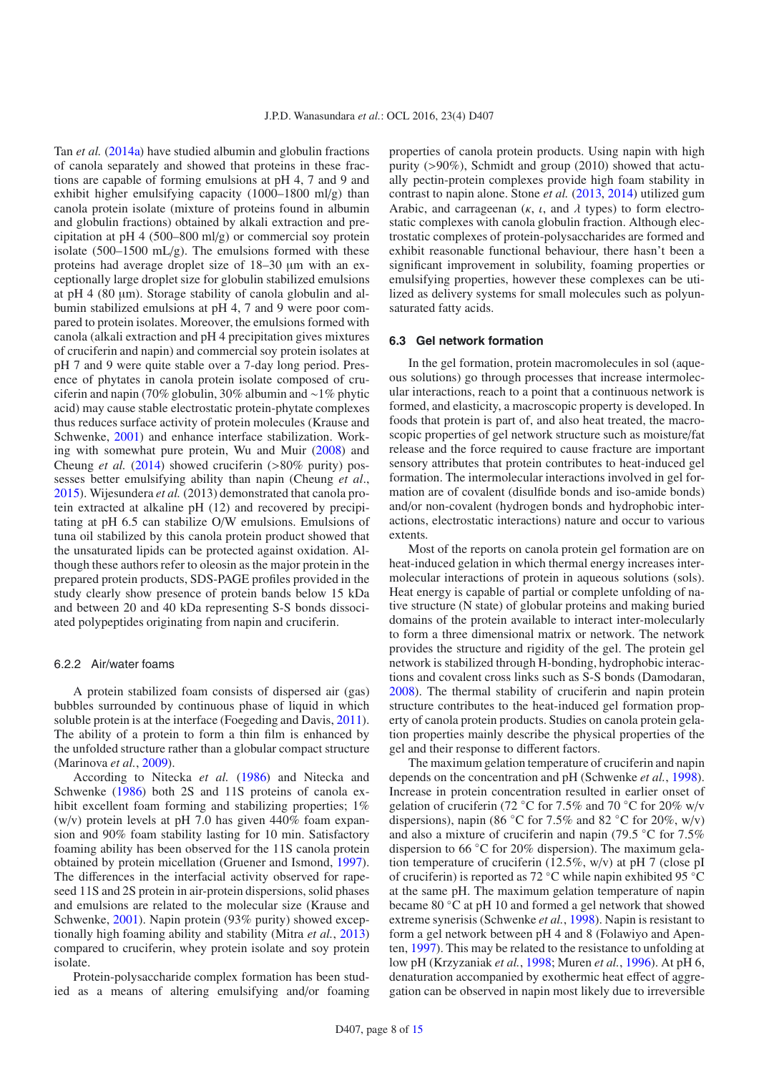Tan *et al.* [\(2014a\)](#page-14-15) have studied albumin and globulin fractions of canola separately and showed that proteins in these fractions are capable of forming emulsions at pH 4, 7 and 9 and exhibit higher emulsifying capacity  $(1000-1800 \text{ ml/g})$  than canola protein isolate (mixture of proteins found in albumin and globulin fractions) obtained by alkali extraction and precipitation at pH 4 (500–800 ml/g) or commercial soy protein isolate  $(500-1500 \text{ mL/g})$ . The emulsions formed with these proteins had average droplet size of 18–30 µm with an exceptionally large droplet size for globulin stabilized emulsions at pH 4 (80 µm). Storage stability of canola globulin and albumin stabilized emulsions at pH 4, 7 and 9 were poor compared to protein isolates. Moreover, the emulsions formed with canola (alkali extraction and pH 4 precipitation gives mixtures of cruciferin and napin) and commercial soy protein isolates at pH 7 and 9 were quite stable over a 7-day long period. Presence of phytates in canola protein isolate composed of cruciferin and napin (70% globulin, 30% albumin and ∼1% phytic acid) may cause stable electrostatic protein-phytate complexes thus reduces surface activity of protein molecules (Krause and Schwenke, [2001\)](#page-12-23) and enhance interface stabilization. Working with somewhat pure protein, Wu and Muir [\(2008\)](#page-14-16) and Cheung *et al.* [\(2014\)](#page-11-14) showed cruciferin (>80% purity) possesses better emulsifying ability than napin (Cheung *et al*., [2015\)](#page-11-15). Wijesundera *et al.* (2013) demonstrated that canola protein extracted at alkaline pH (12) and recovered by precipitating at pH 6.5 can stabilize O/W emulsions. Emulsions of tuna oil stabilized by this canola protein product showed that the unsaturated lipids can be protected against oxidation. Although these authors refer to oleosin as the major protein in the prepared protein products, SDS-PAGE profiles provided in the study clearly show presence of protein bands below 15 kDa and between 20 and 40 kDa representing S-S bonds dissociated polypeptides originating from napin and cruciferin.

#### 6.2.2 Air/water foams

A protein stabilized foam consists of dispersed air (gas) bubbles surrounded by continuous phase of liquid in which soluble protein is at the interface (Foegeding and Davis, [2011](#page-12-21)). The ability of a protein to form a thin film is enhanced by the unfolded structure rather than a globular compact structure (Marinova *et al.*, [2009\)](#page-13-19).

According to Nitecka *et al.* [\(1986\)](#page-13-20) and Nitecka and Schwenke [\(1986\)](#page-13-21) both 2S and 11S proteins of canola exhibit excellent foam forming and stabilizing properties; 1% (w/v) protein levels at pH 7.0 has given 440% foam expansion and 90% foam stability lasting for 10 min. Satisfactory foaming ability has been observed for the 11S canola protein obtained by protein micellation (Gruener and Ismond, [1997](#page-12-24)). The differences in the interfacial activity observed for rapeseed 11S and 2S protein in air-protein dispersions, solid phases and emulsions are related to the molecular size (Krause and Schwenke, [2001\)](#page-12-23). Napin protein (93% purity) showed exceptionally high foaming ability and stability (Mitra *et al.*, [2013\)](#page-13-22) compared to cruciferin, whey protein isolate and soy protein isolate.

Protein-polysaccharide complex formation has been studied as a means of altering emulsifying and/or foaming properties of canola protein products. Using napin with high purity (>90%), Schmidt and group (2010) showed that actually pectin-protein complexes provide high foam stability in contrast to napin alone. Stone *et al.* [\(2013,](#page-14-17) [2014\)](#page-14-18) utilized gum Arabic, and carrageenan ( $\kappa$ ,  $\iota$ , and  $\lambda$  types) to form electrostatic complexes with canola globulin fraction. Although electrostatic complexes of protein-polysaccharides are formed and exhibit reasonable functional behaviour, there hasn't been a significant improvement in solubility, foaming properties or emulsifying properties, however these complexes can be utilized as delivery systems for small molecules such as polyunsaturated fatty acids.

#### **6.3 Gel network formation**

In the gel formation, protein macromolecules in sol (aqueous solutions) go through processes that increase intermolecular interactions, reach to a point that a continuous network is formed, and elasticity, a macroscopic property is developed. In foods that protein is part of, and also heat treated, the macroscopic properties of gel network structure such as moisture/fat release and the force required to cause fracture are important sensory attributes that protein contributes to heat-induced gel formation. The intermolecular interactions involved in gel formation are of covalent (disulfide bonds and iso-amide bonds) and/or non-covalent (hydrogen bonds and hydrophobic interactions, electrostatic interactions) nature and occur to various extents.

Most of the reports on canola protein gel formation are on heat-induced gelation in which thermal energy increases intermolecular interactions of protein in aqueous solutions (sols). Heat energy is capable of partial or complete unfolding of native structure (N state) of globular proteins and making buried domains of the protein available to interact inter-molecularly to form a three dimensional matrix or network. The network provides the structure and rigidity of the gel. The protein gel network is stabilized through H-bonding, hydrophobic interactions and covalent cross links such as S-S bonds (Damodaran, [2008\)](#page-11-13). The thermal stability of cruciferin and napin protein structure contributes to the heat-induced gel formation property of canola protein products. Studies on canola protein gelation properties mainly describe the physical properties of the gel and their response to different factors.

The maximum gelation temperature of cruciferin and napin depends on the concentration and pH (Schwenke *et al.*, [1998\)](#page-13-23). Increase in protein concentration resulted in earlier onset of gelation of cruciferin (72 ◦C for 7.5% and 70 ◦C for 20% w/v dispersions), napin (86 °C for 7.5% and 82 °C for 20%, w/v) and also a mixture of cruciferin and napin (79.5 ◦C for 7.5% dispersion to 66 ◦C for 20% dispersion). The maximum gelation temperature of cruciferin (12.5%, w/v) at pH 7 (close pI of cruciferin) is reported as 72 ◦C while napin exhibited 95 ◦C at the same pH. The maximum gelation temperature of napin became 80 ◦C at pH 10 and formed a gel network that showed extreme synerisis (Schwenke *et al.*, [1998\)](#page-13-23). Napin is resistant to form a gel network between pH 4 and 8 (Folawiyo and Apenten, [1997](#page-12-25)). This may be related to the resistance to unfolding at low pH (Krzyzaniak *et al.*, [1998;](#page-12-26) Muren *et al.*, [1996\)](#page-13-24). At pH 6, denaturation accompanied by exothermic heat effect of aggregation can be observed in napin most likely due to irreversible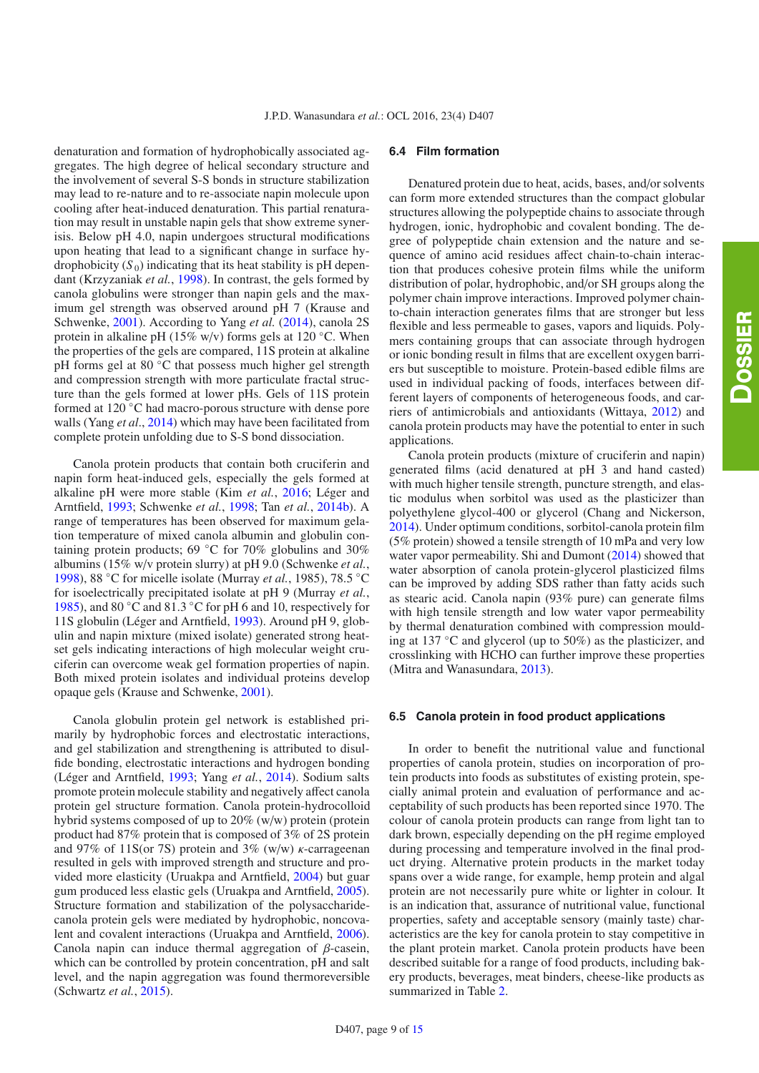denaturation and formation of hydrophobically associated aggregates. The high degree of helical secondary structure and the involvement of several S-S bonds in structure stabilization may lead to re-nature and to re-associate napin molecule upon cooling after heat-induced denaturation. This partial renaturation may result in unstable napin gels that show extreme synerisis. Below pH 4.0, napin undergoes structural modifications upon heating that lead to a significant change in surface hydrophobicity  $(S_0)$  indicating that its heat stability is pH dependant (Krzyzaniak *et al.*, [1998](#page-12-26)). In contrast, the gels formed by canola globulins were stronger than napin gels and the maximum gel strength was observed around pH 7 (Krause and Schwenke, [2001\)](#page-12-23). According to Yang *et al.* [\(2014](#page-14-19)), canola 2S protein in alkaline pH (15% w/v) forms gels at 120 °C. When the properties of the gels are compared, 11S protein at alkaline pH forms gel at 80 °C that possess much higher gel strength and compression strength with more particulate fractal structure than the gels formed at lower pHs. Gels of 11S protein formed at 120 ◦C had macro-porous structure with dense pore walls (Yang *et al*., [2014\)](#page-14-19) which may have been facilitated from complete protein unfolding due to S-S bond dissociation.

Canola protein products that contain both cruciferin and napin form heat-induced gels, especially the gels formed at alkaline pH were more stable (Kim *et al.*, [2016;](#page-12-27) Léger and Arntfield, [1993;](#page-12-28) Schwenke *et al.*, [1998;](#page-13-23) Tan *et al.*, [2014b\)](#page-14-20). A range of temperatures has been observed for maximum gelation temperature of mixed canola albumin and globulin containing protein products; 69 ◦C for 70% globulins and 30% albumins (15% w/v protein slurry) at pH 9.0 (Schwenke *et al.*, [1998\)](#page-13-23), 88 ◦C for micelle isolate (Murray *et al.*, 1985), 78.5 ◦C for isoelectrically precipitated isolate at pH 9 (Murray *et al.*, [1985\)](#page-13-25), and 80 ◦C and 81.3 ◦C for pH 6 and 10, respectively for 11S globulin (Léger and Arntfield, [1993\)](#page-12-28). Around pH 9, globulin and napin mixture (mixed isolate) generated strong heatset gels indicating interactions of high molecular weight cruciferin can overcome weak gel formation properties of napin. Both mixed protein isolates and individual proteins develop opaque gels (Krause and Schwenke, [2001\)](#page-12-23).

Canola globulin protein gel network is established primarily by hydrophobic forces and electrostatic interactions, and gel stabilization and strengthening is attributed to disulfide bonding, electrostatic interactions and hydrogen bonding (Léger and Arntfield, [1993;](#page-12-28) Yang *et al.*, [2014\)](#page-14-19). Sodium salts promote protein molecule stability and negatively affect canola protein gel structure formation. Canola protein-hydrocolloid hybrid systems composed of up to 20% (w/w) protein (protein product had 87% protein that is composed of 3% of 2S protein and 97% of 11S(or 7S) protein and 3% (w/w)  $\kappa$ -carrageenan resulted in gels with improved strength and structure and provided more elasticity (Uruakpa and Arntfield, [2004](#page-14-21)) but guar gum produced less elastic gels (Uruakpa and Arntfield, [2005](#page-14-22)). Structure formation and stabilization of the polysaccharidecanola protein gels were mediated by hydrophobic, noncovalent and covalent interactions (Uruakpa and Arntfield, [2006](#page-14-23)). Canola napin can induce thermal aggregation of  $\beta$ -casein, which can be controlled by protein concentration, pH and salt level, and the napin aggregation was found thermoreversible (Schwartz *et al.*, [2015](#page-13-26)).

#### **6.4 Film formation**

Denatured protein due to heat, acids, bases, and/or solvents can form more extended structures than the compact globular structures allowing the polypeptide chains to associate through hydrogen, ionic, hydrophobic and covalent bonding. The degree of polypeptide chain extension and the nature and sequence of amino acid residues affect chain-to-chain interaction that produces cohesive protein films while the uniform distribution of polar, hydrophobic, and/or SH groups along the polymer chain improve interactions. Improved polymer chainto-chain interaction generates films that are stronger but less flexible and less permeable to gases, vapors and liquids. Polymers containing groups that can associate through hydrogen or ionic bonding result in films that are excellent oxygen barriers but susceptible to moisture. Protein-based edible films are used in individual packing of foods, interfaces between different layers of components of heterogeneous foods, and carriers of antimicrobials and antioxidants (Wittaya, [2012](#page-14-24)) and canola protein products may have the potential to enter in such applications.

Canola protein products (mixture of cruciferin and napin) generated films (acid denatured at pH 3 and hand casted) with much higher tensile strength, puncture strength, and elastic modulus when sorbitol was used as the plasticizer than polyethylene glycol-400 or glycerol (Chang and Nickerson, [2014\)](#page-11-16). Under optimum conditions, sorbitol-canola protein film (5% protein) showed a tensile strength of 10 mPa and very low water vapor permeability. Shi and Dumont [\(2014\)](#page-13-27) showed that water absorption of canola protein-glycerol plasticized films can be improved by adding SDS rather than fatty acids such as stearic acid. Canola napin (93% pure) can generate films with high tensile strength and low water vapor permeability by thermal denaturation combined with compression moulding at 137 ◦C and glycerol (up to 50%) as the plasticizer, and crosslinking with HCHO can further improve these properties (Mitra and Wanasundara, [2013\)](#page-13-28).

## **6.5 Canola protein in food product applications**

In order to benefit the nutritional value and functional properties of canola protein, studies on incorporation of protein products into foods as substitutes of existing protein, specially animal protein and evaluation of performance and acceptability of such products has been reported since 1970. The colour of canola protein products can range from light tan to dark brown, especially depending on the pH regime employed during processing and temperature involved in the final product drying. Alternative protein products in the market today spans over a wide range, for example, hemp protein and algal protein are not necessarily pure white or lighter in colour. It is an indication that, assurance of nutritional value, functional properties, safety and acceptable sensory (mainly taste) characteristics are the key for canola protein to stay competitive in the plant protein market. Canola protein products have been described suitable for a range of food products, including bakery products, beverages, meat binders, cheese-like products as summarized in Table [2.](#page-9-0)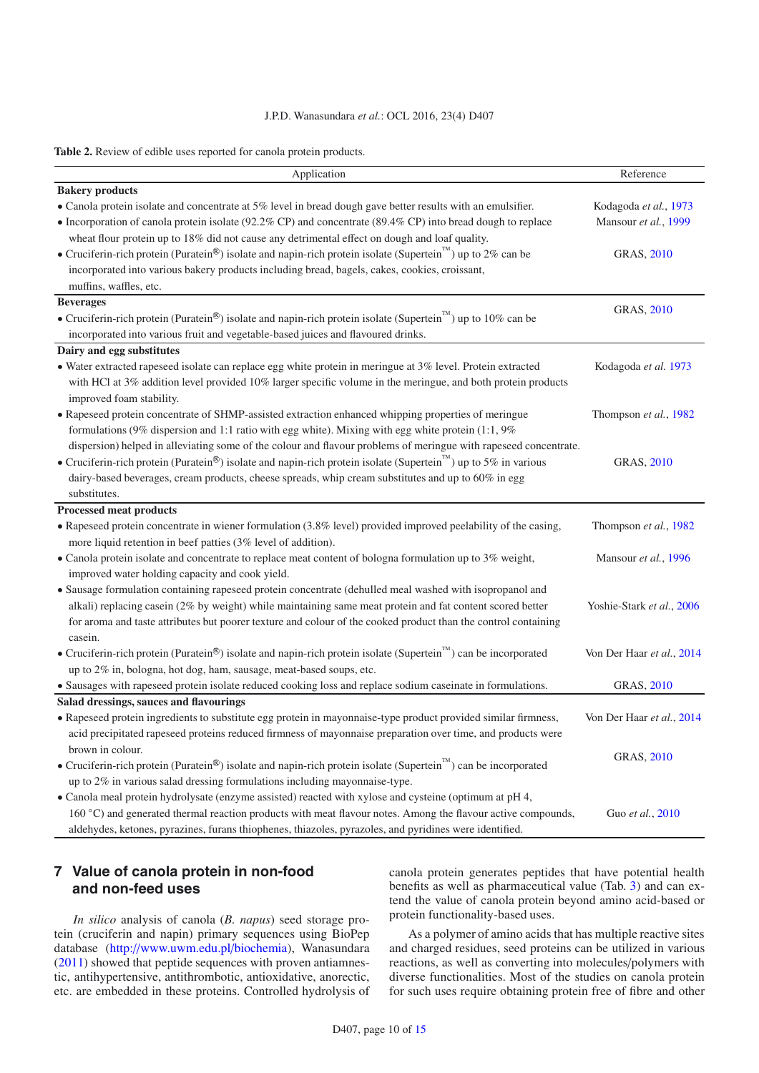<span id="page-9-0"></span>**Table 2.** Review of edible uses reported for canola protein products.

| Application                                                                                                                             | Reference                 |
|-----------------------------------------------------------------------------------------------------------------------------------------|---------------------------|
| <b>Bakery</b> products                                                                                                                  |                           |
| • Canola protein isolate and concentrate at 5% level in bread dough gave better results with an emulsifier.                             | Kodagoda et al., 1973     |
| • Incorporation of canola protein isolate (92.2% CP) and concentrate (89.4% CP) into bread dough to replace                             | Mansour et al., 1999      |
| wheat flour protein up to 18% did not cause any detrimental effect on dough and loaf quality.                                           |                           |
| • Cruciferin-rich protein (Puratein®) isolate and napin-rich protein isolate (Supertein™) up to 2% can be                               | <b>GRAS, 2010</b>         |
| incorporated into various bakery products including bread, bagels, cakes, cookies, croissant,                                           |                           |
| muffins, waffles, etc.                                                                                                                  |                           |
| <b>Beverages</b>                                                                                                                        |                           |
| • Cruciferin-rich protein (Puratein <sup>®</sup> ) isolate and napin-rich protein isolate (Supertein <sup>™</sup> ) up to 10% can be    | <b>GRAS, 2010</b>         |
| incorporated into various fruit and vegetable-based juices and flavoured drinks.                                                        |                           |
| Dairy and egg substitutes                                                                                                               |                           |
| • Water extracted rapeseed isolate can replace egg white protein in meringue at 3% level. Protein extracted                             | Kodagoda et al. 1973      |
| with HCl at 3% addition level provided 10% larger specific volume in the meringue, and both protein products                            |                           |
| improved foam stability.                                                                                                                |                           |
| • Rapeseed protein concentrate of SHMP-assisted extraction enhanced whipping properties of meringue                                     | Thompson et al., 1982     |
| formulations (9% dispersion and 1:1 ratio with egg white). Mixing with egg white protein $(1:1, 9\%)$                                   |                           |
| dispersion) helped in alleviating some of the colour and flavour problems of meringue with rapeseed concentrate.                        |                           |
| • Cruciferin-rich protein (Puratein®) isolate and napin-rich protein isolate (Supertein™) up to 5% in various                           | <b>GRAS, 2010</b>         |
| dairy-based beverages, cream products, cheese spreads, whip cream substitutes and up to $60\%$ in egg                                   |                           |
| substitutes.                                                                                                                            |                           |
| <b>Processed meat products</b>                                                                                                          |                           |
| • Rapeseed protein concentrate in wiener formulation (3.8% level) provided improved peelability of the casing,                          | Thompson et al., 1982     |
| more liquid retention in beef patties (3% level of addition).                                                                           |                           |
| • Canola protein isolate and concentrate to replace meat content of bologna formulation up to 3% weight,                                | Mansour et al., 1996      |
| improved water holding capacity and cook yield.                                                                                         |                           |
| • Sausage formulation containing rapeseed protein concentrate (dehulled meal washed with isopropanol and                                |                           |
| alkali) replacing casein (2% by weight) while maintaining same meat protein and fat content scored better                               | Yoshie-Stark et al., 2006 |
| for aroma and taste attributes but poorer texture and colour of the cooked product than the control containing                          |                           |
| casein.                                                                                                                                 |                           |
| • Cruciferin-rich protein (Puratein <sup>®</sup> ) isolate and napin-rich protein isolate (Supertein <sup>™</sup> ) can be incorporated | Von Der Haar et al., 2014 |
| up to 2% in, bologna, hot dog, ham, sausage, meat-based soups, etc.                                                                     |                           |
| • Sausages with rapeseed protein isolate reduced cooking loss and replace sodium caseinate in formulations.                             | <b>GRAS, 2010</b>         |
| Salad dressings, sauces and flavourings                                                                                                 |                           |
| • Rapeseed protein ingredients to substitute egg protein in mayonnaise-type product provided similar firmness,                          | Von Der Haar et al., 2014 |
| acid precipitated rapeseed proteins reduced firmness of mayonnaise preparation over time, and products were                             |                           |
| brown in colour.                                                                                                                        | <b>GRAS, 2010</b>         |
| • Cruciferin-rich protein (Puratein®) isolate and napin-rich protein isolate (Supertein™) can be incorporated                           |                           |
| up to 2% in various salad dressing formulations including mayonnaise-type.                                                              |                           |
| • Canola meal protein hydrolysate (enzyme assisted) reacted with xylose and cysteine (optimum at pH 4,                                  |                           |
| 160 °C) and generated thermal reaction products with meat flavour notes. Among the flavour active compounds,                            | Guo et al., 2010          |
| aldehydes, ketones, pyrazines, furans thiophenes, thiazoles, pyrazoles, and pyridines were identified.                                  |                           |

## **7 Value of canola protein in non-food and non-feed uses**

*In silico* analysis of canola (*B. napus*) seed storage protein (cruciferin and napin) primary sequences using BioPep database (http://[www.uwm.edu.pl](http://www.uwm.edu.pl/biochemia)/biochemia), Wanasundara [\(2011\)](#page-14-2) showed that peptide sequences with proven antiamnestic, antihypertensive, antithrombotic, antioxidative, anorectic, etc. are embedded in these proteins. Controlled hydrolysis of canola protein generates peptides that have potential health benefits as well as pharmaceutical value (Tab. [3\)](#page-10-0) and can extend the value of canola protein beyond amino acid-based or protein functionality-based uses.

As a polymer of amino acids that has multiple reactive sites and charged residues, seed proteins can be utilized in various reactions, as well as converting into molecules/polymers with diverse functionalities. Most of the studies on canola protein for such uses require obtaining protein free of fibre and other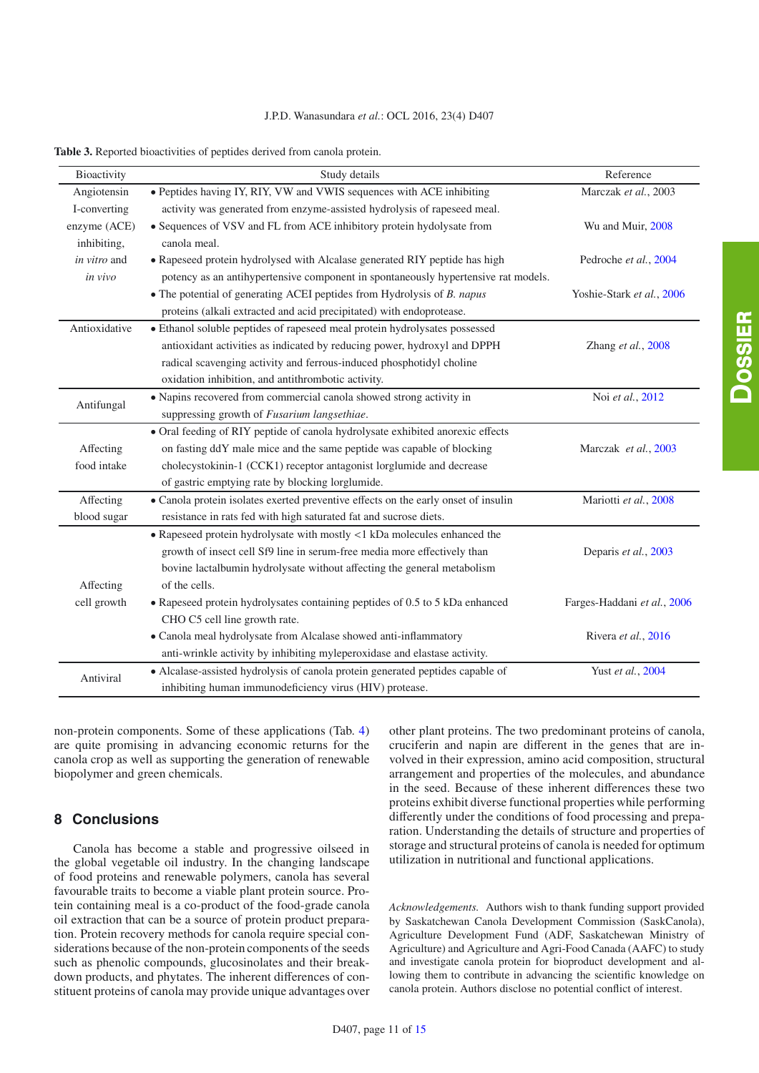#### J.P.D. Wanasundara *et al.*: OCL 2016, 23(4) D407

<span id="page-10-0"></span>

|  | <b>Table 3.</b> Reported bioactivities of peptides derived from canola protein. |  |  |  |
|--|---------------------------------------------------------------------------------|--|--|--|
|  |                                                                                 |  |  |  |

| Bioactivity   | Study details                                                                      | Reference                   |
|---------------|------------------------------------------------------------------------------------|-----------------------------|
| Angiotensin   | • Peptides having IY, RIY, VW and VWIS sequences with ACE inhibiting               | Marczak et al., 2003        |
| I-converting  | activity was generated from enzyme-assisted hydrolysis of rapeseed meal.           |                             |
| enzyme (ACE)  | • Sequences of VSV and FL from ACE inhibitory protein hydolysate from              | Wu and Muir, 2008           |
| inhibiting,   | canola meal.                                                                       |                             |
| in vitro and  | • Rapeseed protein hydrolysed with Alcalase generated RIY peptide has high         | Pedroche et al., 2004       |
| in vivo       | potency as an antihypertensive component in spontaneously hypertensive rat models. |                             |
|               | • The potential of generating ACEI peptides from Hydrolysis of B. napus            | Yoshie-Stark et al., 2006   |
|               | proteins (alkali extracted and acid precipitated) with endoprotease.               |                             |
| Antioxidative | • Ethanol soluble peptides of rapeseed meal protein hydrolysates possessed         |                             |
|               | antioxidant activities as indicated by reducing power, hydroxyl and DPPH           | Zhang et al., 2008          |
|               | radical scavenging activity and ferrous-induced phosphotidyl choline               |                             |
|               | oxidation inhibition, and antithrombotic activity.                                 |                             |
| Antifungal    | • Napins recovered from commercial canola showed strong activity in                | Noi et al., 2012            |
|               | suppressing growth of Fusarium langsethiae.                                        |                             |
|               | · Oral feeding of RIY peptide of canola hydrolysate exhibited anorexic effects     |                             |
| Affecting     | on fasting ddY male mice and the same peptide was capable of blocking              | Marczak et al., 2003        |
| food intake   | cholecystokinin-1 (CCK1) receptor antagonist lorglumide and decrease               |                             |
|               | of gastric emptying rate by blocking lorglumide.                                   |                             |
| Affecting     | • Canola protein isolates exerted preventive effects on the early onset of insulin | Mariotti et al., 2008       |
| blood sugar   | resistance in rats fed with high saturated fat and sucrose diets.                  |                             |
|               | • Rapeseed protein hydrolysate with mostly <1 kDa molecules enhanced the           |                             |
|               | growth of insect cell Sf9 line in serum-free media more effectively than           | Deparis et al., 2003        |
|               | bovine lactalbumin hydrolysate without affecting the general metabolism            |                             |
| Affecting     | of the cells.                                                                      |                             |
| cell growth   | • Rapeseed protein hydrolysates containing peptides of 0.5 to 5 kDa enhanced       | Farges-Haddani et al., 2006 |
|               | CHO C5 cell line growth rate.                                                      |                             |
|               | • Canola meal hydrolysate from Alcalase showed anti-inflammatory                   | Rivera et al., 2016         |
|               | anti-wrinkle activity by inhibiting myleperoxidase and elastase activity.          |                             |
| Antiviral     | • Alcalase-assisted hydrolysis of canola protein generated peptides capable of     | Yust et al., 2004           |
|               | inhibiting human immunodeficiency virus (HIV) protease.                            |                             |

non-protein components. Some of these applications (Tab. [4\)](#page-11-17) are quite promising in advancing economic returns for the canola crop as well as supporting the generation of renewable biopolymer and green chemicals.

## **8 Conclusions**

Canola has become a stable and progressive oilseed in the global vegetable oil industry. In the changing landscape of food proteins and renewable polymers, canola has several favourable traits to become a viable plant protein source. Protein containing meal is a co-product of the food-grade canola oil extraction that can be a source of protein product preparation. Protein recovery methods for canola require special considerations because of the non-protein components of the seeds such as phenolic compounds, glucosinolates and their breakdown products, and phytates. The inherent differences of constituent proteins of canola may provide unique advantages over other plant proteins. The two predominant proteins of canola, cruciferin and napin are different in the genes that are involved in their expression, amino acid composition, structural arrangement and properties of the molecules, and abundance in the seed. Because of these inherent differences these two proteins exhibit diverse functional properties while performing differently under the conditions of food processing and preparation. Understanding the details of structure and properties of storage and structural proteins of canola is needed for optimum utilization in nutritional and functional applications.

*Acknowledgements.* Authors wish to thank funding support provided by Saskatchewan Canola Development Commission (SaskCanola), Agriculture Development Fund (ADF, Saskatchewan Ministry of Agriculture) and Agriculture and Agri-Food Canada (AAFC) to study and investigate canola protein for bioproduct development and allowing them to contribute in advancing the scientific knowledge on canola protein. Authors disclose no potential conflict of interest.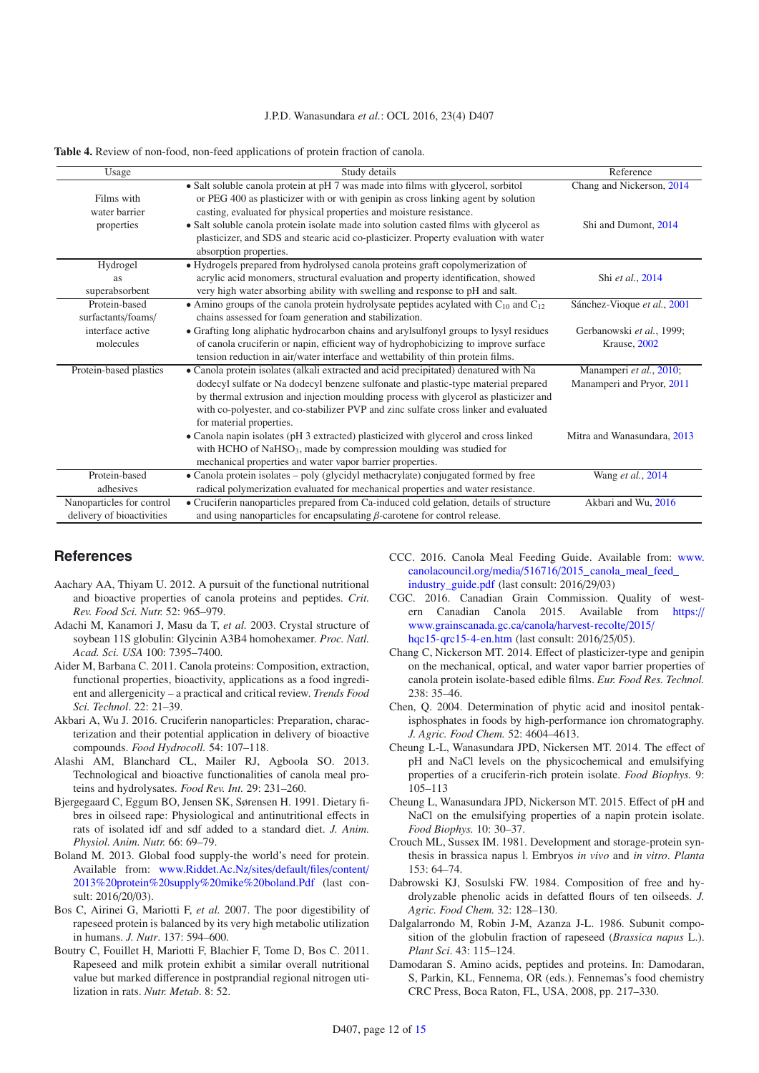#### J.P.D. Wanasundara *et al.*: OCL 2016, 23(4) D407

<span id="page-11-17"></span>

| Usage                                                  | Study details                                                                                                                                                                                                                                                                                                                                                                          | Reference                                            |
|--------------------------------------------------------|----------------------------------------------------------------------------------------------------------------------------------------------------------------------------------------------------------------------------------------------------------------------------------------------------------------------------------------------------------------------------------------|------------------------------------------------------|
| Films with                                             | • Salt soluble canola protein at pH 7 was made into films with glycerol, sorbitol<br>or PEG 400 as plasticizer with or with genipin as cross linking agent by solution                                                                                                                                                                                                                 | Chang and Nickerson, 2014                            |
| water barrier<br>properties                            | casting, evaluated for physical properties and moisture resistance.<br>• Salt soluble canola protein isolate made into solution casted films with glycerol as<br>plasticizer, and SDS and stearic acid co-plasticizer. Property evaluation with water<br>absorption properties.                                                                                                        | Shi and Dumont, 2014                                 |
| Hydrogel<br>as<br>superabsorbent                       | · Hydrogels prepared from hydrolysed canola proteins graft copolymerization of<br>acrylic acid monomers, structural evaluation and property identification, showed<br>very high water absorbing ability with swelling and response to pH and salt.                                                                                                                                     | Shi et al., 2014                                     |
| Protein-based<br>surfactants/foams/                    | • Amino groups of the canola protein hydrolysate peptides acylated with $C_{10}$ and $C_{12}$<br>chains assessed for foam generation and stabilization.                                                                                                                                                                                                                                | Sánchez-Vioque et al., 2001                          |
| interface active<br>molecules                          | • Grafting long aliphatic hydrocarbon chains and arylsulfonyl groups to lysyl residues<br>of canola cruciferin or napin, efficient way of hydrophobicizing to improve surface<br>tension reduction in air/water interface and wettability of thin protein films.                                                                                                                       | Gerbanowski et al., 1999;<br>Krause, 2002            |
| Protein-based plastics                                 | · Canola protein isolates (alkali extracted and acid precipitated) denatured with Na<br>dodecyl sulfate or Na dodecyl benzene sulfonate and plastic-type material prepared<br>by thermal extrusion and injection moulding process with glycerol as plasticizer and<br>with co-polyester, and co-stabilizer PVP and zinc sulfate cross linker and evaluated<br>for material properties. | Manamperi et al., 2010;<br>Manamperi and Pryor, 2011 |
|                                                        | • Canola napin isolates (pH 3 extracted) plasticized with glycerol and cross linked<br>with HCHO of NaHSO <sub>3</sub> , made by compression moulding was studied for<br>mechanical properties and water vapor barrier properties.                                                                                                                                                     | Mitra and Wanasundara, 2013                          |
| Protein-based<br>adhesives                             | • Canola protein isolates - poly (glycidyl methacrylate) conjugated formed by free<br>radical polymerization evaluated for mechanical properties and water resistance.                                                                                                                                                                                                                 | Wang et al., 2014                                    |
| Nanoparticles for control<br>delivery of bioactivities | • Cruciferin nanoparticles prepared from Ca-induced cold gelation, details of structure<br>and using nanoparticles for encapsulating $\beta$ -carotene for control release.                                                                                                                                                                                                            | Akbari and Wu, 2016                                  |

## **References**

- <span id="page-11-3"></span>Aachary AA, Thiyam U. 2012. A pursuit of the functional nutritional and bioactive properties of canola proteins and peptides. *Crit. Rev. Food Sci. Nutr.* 52: 965–979.
- <span id="page-11-8"></span>Adachi M, Kanamori J, Masu da T, *et al.* 2003. Crystal structure of soybean 11S globulin: Glycinin A3B4 homohexamer. *Proc. Natl. Acad. Sci. USA* 100: 7395–7400.
- <span id="page-11-4"></span>Aider M, Barbana C. 2011. Canola proteins: Composition, extraction, functional properties, bioactivity, applications as a food ingredient and allergenicity – a practical and critical review. *Trends Food Sci. Technol*. 22: 21–39.
- <span id="page-11-18"></span>Akbari A, Wu J. 2016. Cruciferin nanoparticles: Preparation, characterization and their potential application in delivery of bioactive compounds. *Food Hydrocoll.* 54: 107–118.
- <span id="page-11-5"></span>Alashi AM, Blanchard CL, Mailer RJ, Agboola SO. 2013. Technological and bioactive functionalities of canola meal proteins and hydrolysates. *Food Rev. Int.* 29: 231–260.
- Bjergegaard C, Eggum BO, Jensen SK, Sørensen H. 1991. Dietary fibres in oilseed rape: Physiological and antinutritional effects in rats of isolated idf and sdf added to a standard diet. *J. Anim. Physiol. Anim. Nutr.* 66: 69–79.
- <span id="page-11-1"></span>Boland M. 2013. Global food supply-the world's need for protein. Available from: [www.Riddet.Ac.Nz](www.Riddet.Ac.Nz/sites/default/files/content/2013{%}20protein{%}20supply{%}20mike{%}20boland.Pdf)/sites/default/files/content/ [2013%20protein%20supply%20mike%20boland.Pdf](www.Riddet.Ac.Nz/sites/default/files/content/2013{%}20protein{%}20supply{%}20mike{%}20boland.Pdf) (last consult: 2016/20/03).
- <span id="page-11-2"></span>Bos C, Airinei G, Mariotti F, *et al.* 2007. The poor digestibility of rapeseed protein is balanced by its very high metabolic utilization in humans. *J. Nutr*. 137: 594–600.
- <span id="page-11-10"></span>Boutry C, Fouillet H, Mariotti F, Blachier F, Tome D, Bos C. 2011. Rapeseed and milk protein exhibit a similar overall nutritional value but marked difference in postprandial regional nitrogen utilization in rats. *Nutr. Metab*. 8: 52.
- <span id="page-11-0"></span>CCC. 2016. Canola Meal Feeding Guide. Available from: [www.](www.canolacouncil.org/media/516716/2015_canola_meal_feed_industry_guide.pdf) canolacouncil.org/media/516716/[2015\\_canola\\_meal\\_feed\\_](www.canolacouncil.org/media/516716/2015_canola_meal_feed_industry_guide.pdf) [industry\\_guide.pdf](www.canolacouncil.org/media/516716/2015_canola_meal_feed_industry_guide.pdf) (last consult: 2016/29/03)
- <span id="page-11-6"></span>CGC. 2016. Canadian Grain Commission. Quality of western Canadian Canola 2015. Available from [https:](https://www.grainscanada.gc.ca/canola/harvest-recolte/2015/hqc15-qrc15-4-en.htm)// [www.grainscanada.gc.ca](https://www.grainscanada.gc.ca/canola/harvest-recolte/2015/hqc15-qrc15-4-en.htm)/canola/harvest-recolte/2015/ [hqc15-qrc15-4-en.htm](https://www.grainscanada.gc.ca/canola/harvest-recolte/2015/hqc15-qrc15-4-en.htm) (last consult: 2016/25/05).
- <span id="page-11-16"></span>Chang C, Nickerson MT. 2014. Effect of plasticizer-type and genipin on the mechanical, optical, and water vapor barrier properties of canola protein isolate-based edible films. *Eur. Food Res. Technol.* 238: 35–46.
- <span id="page-11-11"></span>Chen, Q. 2004. Determination of phytic acid and inositol pentakisphosphates in foods by high-performance ion chromatography. *J. Agric. Food Chem.* 52: 4604–4613.
- <span id="page-11-14"></span>Cheung L-L, Wanasundara JPD, Nickersen MT. 2014. The effect of pH and NaCl levels on the physicochemical and emulsifying properties of a cruciferin-rich protein isolate. *Food Biophys.* 9: 105–113
- <span id="page-11-15"></span>Cheung L, Wanasundara JPD, Nickerson MT. 2015. Effect of pH and NaCl on the emulsifying properties of a napin protein isolate. *Food Biophys.* 10: 30–37.
- <span id="page-11-7"></span>Crouch ML, Sussex IM. 1981. Development and storage-protein synthesis in brassica napus l. Embryos *in vivo* and *in vitro*. *Planta* 153: 64–74.
- <span id="page-11-12"></span>Dabrowski KJ, Sosulski FW. 1984. Composition of free and hydrolyzable phenolic acids in defatted flours of ten oilseeds. *J. Agric. Food Chem.* 32: 128–130.
- <span id="page-11-9"></span>Dalgalarrondo M, Robin J-M, Azanza J-L. 1986. Subunit composition of the globulin fraction of rapeseed (*Brassica napus* L.). *Plant Sci*. 43: 115–124.
- <span id="page-11-13"></span>Damodaran S. Amino acids, peptides and proteins. In: Damodaran, S, Parkin, KL, Fennema, OR (eds.). Fennemas's food chemistry CRC Press, Boca Raton, FL, USA, 2008, pp. 217–330.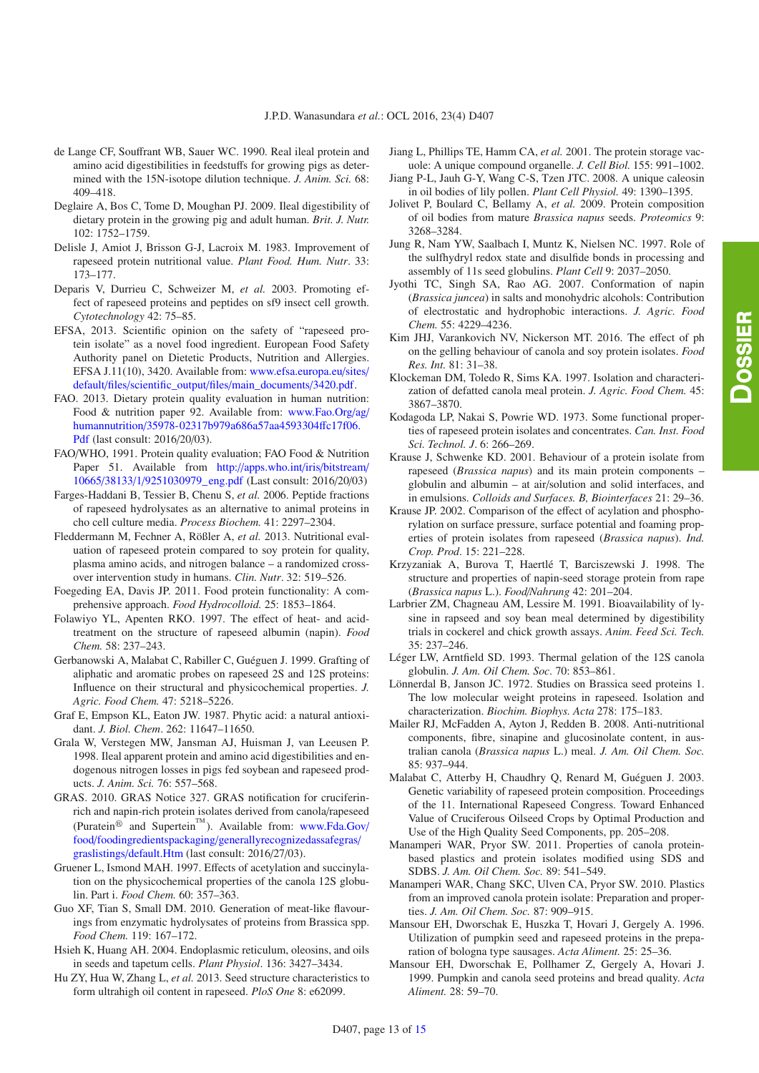- <span id="page-12-16"></span>de Lange CF, Souffrant WB, Sauer WC. 1990. Real ileal protein and amino acid digestibilities in feedstuffs for growing pigs as determined with the 15N-isotope dilution technique. *J. Anim. Sci.* 68: 409–418.
- <span id="page-12-18"></span>Deglaire A, Bos C, Tome D, Moughan PJ. 2009. Ileal digestibility of dietary protein in the growing pig and adult human. *Brit. J. Nutr.* 102: 1752–1759.
- <span id="page-12-14"></span>Delisle J, Amiot J, Brisson G-J, Lacroix M. 1983. Improvement of rapeseed protein nutritional value. *Plant Food. Hum. Nutr*. 33: 173–177.
- <span id="page-12-33"></span>Deparis V, Durrieu C, Schweizer M, *et al.* 2003. Promoting effect of rapeseed proteins and peptides on sf9 insect cell growth. *Cytotechnology* 42: 75–85.
- <span id="page-12-11"></span>EFSA, 2013. Scientific opinion on the safety of "rapeseed protein isolate" as a novel food ingredient. European Food Safety Authority panel on Dietetic Products, Nutrition and Allergies. EFSA J.11(10), 3420. Available from: [www.efsa.europa.eu](www.efsa.europa.eu/sites/default/files/scientific_output/files/main_documents/3420.pdf)/sites/ default/files/scientific\_output/files/[main\\_documents](www.efsa.europa.eu/sites/default/files/scientific_output/files/main_documents/3420.pdf)/3420.pdf.
- <span id="page-12-0"></span>FAO. 2013. Dietary protein quality evaluation in human nutrition: Food & nutrition paper 92. Available from: [www.Fao.Org](www.Fao.Org/ag/humannutrition/35978-02317b979a686a57aa4593304ffc17f06.Pdf)/ag/ humannutrition/[35978-02317b979a686a57aa4593304](www.Fao.Org/ag/humannutrition/35978-02317b979a686a57aa4593304ffc17f06.Pdf)ffc17f06. [Pdf](www.Fao.Org/ag/humannutrition/35978-02317b979a686a57aa4593304ffc17f06.Pdf) (last consult: 2016/20/03).
- <span id="page-12-13"></span>FAO/WHO, 1991. Protein quality evaluation; FAO Food & Nutrition Paper 51. Available from http://[apps.who.int](http://apps.who.int/iris/bitstream/10665/38133/1/9251030979_eng.pdf)/iris/bitstream/ 10665/38133/1/[9251030979\\_eng.pdf](http://apps.who.int/iris/bitstream/10665/38133/1/9251030979_eng.pdf) (Last consult: 2016/20/03)
- <span id="page-12-34"></span>Farges-Haddani B, Tessier B, Chenu S, *et al.* 2006. Peptide fractions of rapeseed hydrolysates as an alternative to animal proteins in cho cell culture media. *Process Biochem.* 41: 2297–2304.
- <span id="page-12-1"></span>Fleddermann M, Fechner A, Rößler A, *et al.* 2013. Nutritional evaluation of rapeseed protein compared to soy protein for quality, plasma amino acids, and nitrogen balance – a randomized crossover intervention study in humans. *Clin. Nutr*. 32: 519–526.
- <span id="page-12-21"></span>Foegeding EA, Davis JP. 2011. Food protein functionality: A comprehensive approach. *Food Hydrocolloid.* 25: 1853–1864.
- <span id="page-12-25"></span>Folawiyo YL, Apenten RKO. 1997. The effect of heat- and acidtreatment on the structure of rapeseed albumin (napin). *Food Chem.* 58: 237–243.
- Gerbanowski A, Malabat C, Rabiller C, Guéguen J. 1999. Grafting of aliphatic and aromatic probes on rapeseed 2S and 12S proteins: Influence on their structural and physicochemical properties. *J. Agric. Food Chem.* 47: 5218–5226.
- <span id="page-12-19"></span>Graf E, Empson KL, Eaton JW. 1987. Phytic acid: a natural antioxidant. *J. Biol. Chem*. 262: 11647–11650.
- <span id="page-12-15"></span>Grala W, Verstegen MW, Jansman AJ, Huisman J, van Leeusen P. 1998. Ileal apparent protein and amino acid digestibilities and endogenous nitrogen losses in pigs fed soybean and rapeseed products. *J. Anim. Sci.* 76: 557–568.
- <span id="page-12-10"></span>GRAS. 2010. GRAS Notice 327. GRAS notification for cruciferinrich and napin-rich protein isolates derived from canola/rapeseed (Puratein<sup>®</sup> and Supertein<sup>™</sup>). Available from: [www.Fda.Gov](www.Fda.Gov/food/foodingredientspackaging/generallyrecognizedassafegras/graslistings/default.Htm)/ food/foodingredientspackaging/[generallyrecognizedassafegras](www.Fda.Gov/food/foodingredientspackaging/generallyrecognizedassafegras/graslistings/default.Htm)/ graslistings/[default.Htm](www.Fda.Gov/food/foodingredientspackaging/generallyrecognizedassafegras/graslistings/default.Htm) (last consult: 2016/27/03).
- <span id="page-12-24"></span>Gruener L, Ismond MAH. 1997. Effects of acetylation and succinylation on the physicochemical properties of the canola 12S globulin. Part i. *Food Chem.* 60: 357–363.
- <span id="page-12-32"></span>Guo XF, Tian S, Small DM. 2010. Generation of meat-like flavourings from enzymatic hydrolysates of proteins from Brassica spp. *Food Chem.* 119: 167–172.
- <span id="page-12-9"></span>Hsieh K, Huang AH. 2004. Endoplasmic reticulum, oleosins, and oils in seeds and tapetum cells. *Plant Physiol*. 136: 3427–3434.
- <span id="page-12-3"></span>Hu ZY, Hua W, Zhang L, *et al.* 2013. Seed structure characteristics to form ultrahigh oil content in rapeseed. *PloS One* 8: e62099.
- <span id="page-12-2"></span>Jiang L, Phillips TE, Hamm CA, *et al.* 2001. The protein storage vacuole: A unique compound organelle. *J. Cell Biol.* 155: 991–1002.
- <span id="page-12-8"></span>Jiang P-L, Jauh G-Y, Wang C-S, Tzen JTC. 2008. A unique caleosin in oil bodies of lily pollen. *Plant Cell Physiol.* 49: 1390–1395.
- <span id="page-12-7"></span>Jolivet P, Boulard C, Bellamy A, *et al.* 2009. Protein composition of oil bodies from mature *Brassica napus* seeds. *Proteomics* 9: 3268–3284.
- <span id="page-12-6"></span>Jung R, Nam YW, Saalbach I, Muntz K, Nielsen NC. 1997. Role of the sulfhydryl redox state and disulfide bonds in processing and assembly of 11s seed globulins. *Plant Cell* 9: 2037–2050.
- <span id="page-12-22"></span>Jyothi TC, Singh SA, Rao AG. 2007. Conformation of napin (*Brassica juncea*) in salts and monohydric alcohols: Contribution of electrostatic and hydrophobic interactions. *J. Agric. Food Chem.* 55: 4229–4236.
- <span id="page-12-27"></span>Kim JHJ, Varankovich NV, Nickerson MT. 2016. The effect of ph on the gelling behaviour of canola and soy protein isolates. *Food Res. Int.* 81: 31–38.
- <span id="page-12-12"></span>Klockeman DM, Toledo R, Sims KA. 1997. Isolation and characterization of defatted canola meal protein. *J. Agric. Food Chem.* 45: 3867–3870.
- <span id="page-12-29"></span>Kodagoda LP, Nakai S, Powrie WD. 1973. Some functional properties of rapeseed protein isolates and concentrates. *Can. Inst. Food Sci. Technol. J*. 6: 266–269.
- <span id="page-12-23"></span>Krause J, Schwenke KD. 2001. Behaviour of a protein isolate from rapeseed (*Brassica napus*) and its main protein components – globulin and albumin – at air/solution and solid interfaces, and in emulsions. *Colloids and Surfaces. B, Biointerfaces* 21: 29–36.
- <span id="page-12-35"></span>Krause JP. 2002. Comparison of the effect of acylation and phosphorylation on surface pressure, surface potential and foaming properties of protein isolates from rapeseed (*Brassica napus*). *Ind. Crop. Prod*. 15: 221–228.
- <span id="page-12-26"></span>Krzyzaniak A, Burova T, Haertlé T, Barciszewski J. 1998. The structure and properties of napin-seed storage protein from rape (*Brassica napus* L.). *Food*/*Nahrung* 42: 201–204.
- <span id="page-12-17"></span>Larbrier ZM, Chagneau AM, Lessire M. 1991. Bioavailability of lysine in rapseed and soy bean meal determined by digestibility trials in cockerel and chick growth assays. *Anim. Feed Sci. Tech.* 35: 237–246.
- <span id="page-12-28"></span>Léger LW, Arntfield SD. 1993. Thermal gelation of the 12S canola globulin. *J. Am. Oil Chem. Soc*. 70: 853–861.
- <span id="page-12-4"></span>Lönnerdal B, Janson JC. 1972. Studies on Brassica seed proteins 1. The low molecular weight proteins in rapeseed. Isolation and characterization. *Biochim. Biophys. Acta* 278: 175–183.
- <span id="page-12-20"></span>Mailer RJ, McFadden A, Ayton J, Redden B. 2008. Anti-nutritional components, fibre, sinapine and glucosinolate content, in australian canola (*Brassica napus* L.) meal. *J. Am. Oil Chem. Soc.* 85: 937–944.
- <span id="page-12-5"></span>Malabat C, Atterby H, Chaudhry Q, Renard M, Guéguen J. 2003. Genetic variability of rapeseed protein composition. Proceedings of the 11. International Rapeseed Congress. Toward Enhanced Value of Cruciferous Oilseed Crops by Optimal Production and Use of the High Quality Seed Components, pp. 205–208.
- <span id="page-12-37"></span>Manamperi WAR, Pryor SW. 2011. Properties of canola proteinbased plastics and protein isolates modified using SDS and SDBS. *J. Am. Oil Chem. Soc.* 89: 541–549.
- <span id="page-12-36"></span>Manamperi WAR, Chang SKC, Ulven CA, Pryor SW. 2010. Plastics from an improved canola protein isolate: Preparation and properties. *J. Am. Oil Chem. Soc.* 87: 909–915.
- <span id="page-12-31"></span>Mansour EH, Dworschak E, Huszka T, Hovari J, Gergely A. 1996. Utilization of pumpkin seed and rapeseed proteins in the preparation of bologna type sausages. *Acta Aliment.* 25: 25–36.
- <span id="page-12-30"></span>Mansour EH, Dworschak E, Pollhamer Z, Gergely A, Hovari J. 1999. Pumpkin and canola seed proteins and bread quality. *Acta Aliment.* 28: 59–70.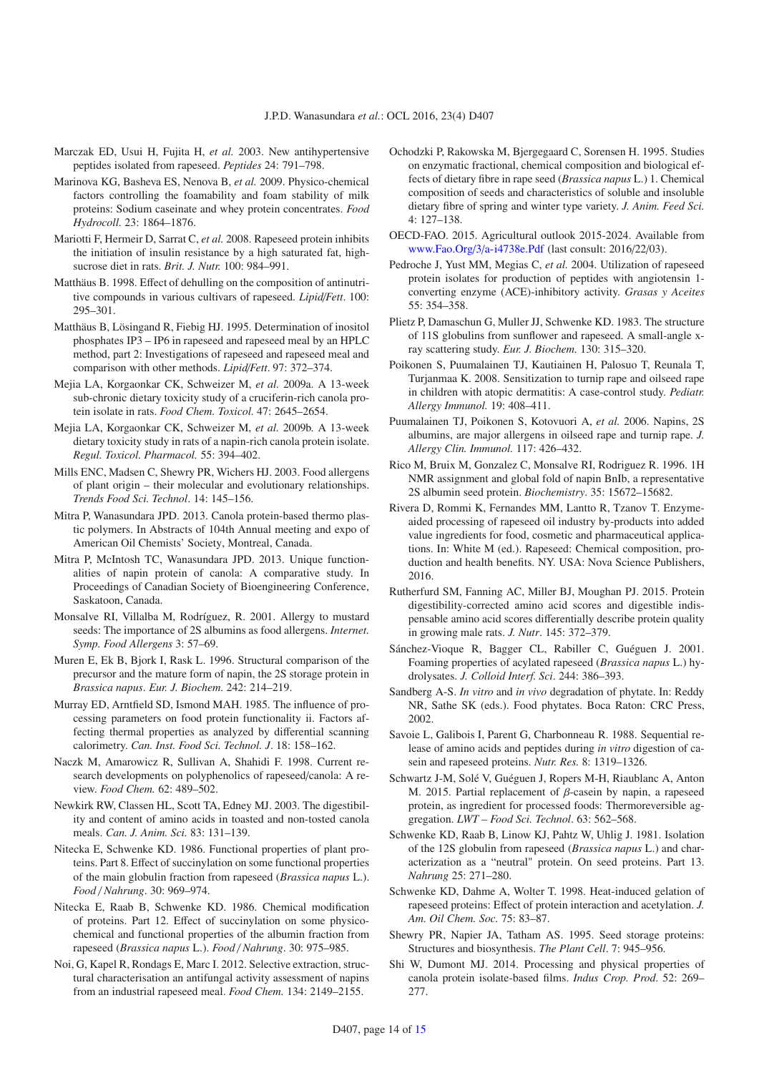- <span id="page-13-31"></span>Marczak ED, Usui H, Fujita H, *et al.* 2003. New antihypertensive peptides isolated from rapeseed. *Peptides* 24: 791–798.
- <span id="page-13-19"></span>Marinova KG, Basheva ES, Nenova B, *et al.* 2009. Physico-chemical factors controlling the foamability and foam stability of milk proteins: Sodium caseinate and whey protein concentrates. *Food Hydrocoll.* 23: 1864–1876.
- <span id="page-13-32"></span>Mariotti F, Hermeir D, Sarrat C, *et al.* 2008. Rapeseed protein inhibits the initiation of insulin resistance by a high saturated fat, highsucrose diet in rats. *Brit. J. Nutr.* 100: 984–991.
- <span id="page-13-12"></span>Matthäus B. 1998. Effect of dehulling on the composition of antinutritive compounds in various cultivars of rapeseed. *Lipid*/*Fett*. 100: 295–301.
- <span id="page-13-9"></span>Matthäus B, Lösingand R, Fiebig HJ. 1995. Determination of inositol phosphates IP3 – IP6 in rapeseed and rapeseed meal by an HPLC method, part 2: Investigations of rapeseed and rapeseed meal and comparison with other methods. *Lipid*/*Fett*. 97: 372–374.
- <span id="page-13-7"></span>Mejia LA, Korgaonkar CK, Schweizer M, *et al.* 2009a. A 13-week sub-chronic dietary toxicity study of a cruciferin-rich canola protein isolate in rats. *Food Chem. Toxicol.* 47: 2645–2654.
- <span id="page-13-8"></span>Mejia LA, Korgaonkar CK, Schweizer M, *et al.* 2009b. A 13-week dietary toxicity study in rats of a napin-rich canola protein isolate. *Regul. Toxicol. Pharmacol.* 55: 394–402.
- <span id="page-13-17"></span>Mills ENC, Madsen C, Shewry PR, Wichers HJ. 2003. Food allergens of plant origin – their molecular and evolutionary relationships. *Trends Food Sci. Technol*. 14: 145–156.
- <span id="page-13-28"></span>Mitra P, Wanasundara JPD. 2013. Canola protein-based thermo plastic polymers. In Abstracts of 104th Annual meeting and expo of American Oil Chemists' Society, Montreal, Canada.
- <span id="page-13-22"></span>Mitra P, McIntosh TC, Wanasundara JPD. 2013. Unique functionalities of napin protein of canola: A comparative study. In Proceedings of Canadian Society of Bioengineering Conference, Saskatoon, Canada.
- <span id="page-13-16"></span>Monsalve RI, Villalba M, Rodríguez, R. 2001. Allergy to mustard seeds: The importance of 2S albumins as food allergens. *Internet. Symp. Food Allergens* 3: 57–69.
- <span id="page-13-24"></span>Muren E, Ek B, Bjork I, Rask L. 1996. Structural comparison of the precursor and the mature form of napin, the 2S storage protein in *Brassica napus*. *Eur. J. Biochem.* 242: 214–219.
- <span id="page-13-25"></span>Murray ED, Arntfield SD, Ismond MAH. 1985. The influence of processing parameters on food protein functionality ii. Factors affecting thermal properties as analyzed by differential scanning calorimetry. *Can. Inst. Food Sci. Technol. J*. 18: 158–162.
- <span id="page-13-11"></span>Naczk M, Amarowicz R, Sullivan A, Shahidi F. 1998. Current research developments on polyphenolics of rapeseed/canola: A review. *Food Chem.* 62: 489–502.
- <span id="page-13-4"></span>Newkirk RW, Classen HL, Scott TA, Edney MJ. 2003. The digestibility and content of amino acids in toasted and non-tosted canola meals. *Can. J. Anim. Sci.* 83: 131–139.
- <span id="page-13-21"></span>Nitecka E, Schwenke KD. 1986. Functional properties of plant proteins. Part 8. Effect of succinylation on some functional properties of the main globulin fraction from rapeseed (*Brassica napus* L.). *Food* / *Nahrung*. 30: 969–974.
- <span id="page-13-20"></span>Nitecka E, Raab B, Schwenke KD. 1986. Chemical modification of proteins. Part 12. Effect of succinylation on some physicochemical and functional properties of the albumin fraction from rapeseed (*Brassica napus* L.). *Food* / *Nahrung*. 30: 975–985.
- <span id="page-13-30"></span>Noi, G, Kapel R, Rondags E, Marc I. 2012. Selective extraction, structural characterisation an antifungal activity assessment of napins from an industrial rapeseed meal. *Food Chem.* 134: 2149–2155.
- <span id="page-13-13"></span>Ochodzki P, Rakowska M, Bjergegaard C, Sorensen H. 1995. Studies on enzymatic fractional, chemical composition and biological effects of dietary fibre in rape seed (*Brassica napus* L.) 1. Chemical composition of seeds and characteristics of soluble and insoluble dietary fibre of spring and winter type variety. *J. Anim. Feed Sci.* 4: 127–138.
- <span id="page-13-0"></span>OECD-FAO. 2015. Agricultural outlook 2015-2024. Available from [www.Fao.Org](www.Fao.Org/3/a-i4738e.Pdf)/3/a-i4738e.Pdf (last consult: 2016/22/03).
- <span id="page-13-29"></span>Pedroche J, Yust MM, Megias C, *et al.* 2004. Utilization of rapeseed protein isolates for production of peptides with angiotensin 1 converting enzyme (ACE)-inhibitory activity. *Grasas y Aceites* 55: 354–358.
- <span id="page-13-1"></span>Plietz P, Damaschun G, Muller JJ, Schwenke KD. 1983. The structure of 11S globulins from sunflower and rapeseed. A small-angle xray scattering study. *Eur. J. Biochem.* 130: 315–320.
- <span id="page-13-14"></span>Poikonen S, Puumalainen TJ, Kautiainen H, Palosuo T, Reunala T, Turjanmaa K. 2008. Sensitization to turnip rape and oilseed rape in children with atopic dermatitis: A case-control study. *Pediatr. Allergy Immunol.* 19: 408–411.
- <span id="page-13-15"></span>Puumalainen TJ, Poikonen S, Kotovuori A, *et al.* 2006. Napins, 2S albumins, are major allergens in oilseed rape and turnip rape. *J. Allergy Clin. Immunol.* 117: 426–432.
- <span id="page-13-3"></span>Rico M, Bruix M, Gonzalez C, Monsalve RI, Rodriguez R. 1996. 1H NMR assignment and global fold of napin BnIb, a representative 2S albumin seed protein. *Biochemistry*. 35: 15672–15682.
- <span id="page-13-33"></span>Rivera D, Rommi K, Fernandes MM, Lantto R, Tzanov T. Enzymeaided processing of rapeseed oil industry by-products into added value ingredients for food, cosmetic and pharmaceutical applications. In: White M (ed.). Rapeseed: Chemical composition, production and health benefits. NY. USA: Nova Science Publishers, 2016.
- <span id="page-13-5"></span>Rutherfurd SM, Fanning AC, Miller BJ, Moughan PJ. 2015. Protein digestibility-corrected amino acid scores and digestible indispensable amino acid scores differentially describe protein quality in growing male rats. *J. Nutr*. 145: 372–379.
- <span id="page-13-34"></span>Sánchez-Vioque R, Bagger CL, Rabiller C, Guéguen J. 2001. Foaming properties of acylated rapeseed (*Brassica napus* L.) hydrolysates. *J. Colloid Interf. Sci*. 244: 386–393.
- <span id="page-13-10"></span>Sandberg A-S. *In vitro* and *in vivo* degradation of phytate. In: Reddy NR, Sathe SK (eds.). Food phytates. Boca Raton: CRC Press, 2002.
- <span id="page-13-6"></span>Savoie L, Galibois I, Parent G, Charbonneau R. 1988. Sequential release of amino acids and peptides during *in vitro* digestion of casein and rapeseed proteins. *Nutr. Res.* 8: 1319–1326.
- <span id="page-13-26"></span>Schwartz J-M, Solé V, Guéguen J, Ropers M-H, Riaublanc A, Anton M. 2015. Partial replacement of  $\beta$ -casein by napin, a rapeseed protein, as ingredient for processed foods: Thermoreversible aggregation. *LWT – Food Sci. Technol*. 63: 562–568.
- <span id="page-13-18"></span>Schwenke KD, Raab B, Linow KJ, Pahtz W, Uhlig J. 1981. Isolation of the 12S globulin from rapeseed (*Brassica napus* L.) and characterization as a "neutral" protein. On seed proteins. Part 13. *Nahrung* 25: 271–280.
- <span id="page-13-23"></span>Schwenke KD, Dahme A, Wolter T. 1998. Heat-induced gelation of rapeseed proteins: Effect of protein interaction and acetylation. *J. Am. Oil Chem. Soc.* 75: 83–87.
- <span id="page-13-2"></span>Shewry PR, Napier JA, Tatham AS. 1995. Seed storage proteins: Structures and biosynthesis. *The Plant Cell*. 7: 945–956.
- <span id="page-13-27"></span>Shi W, Dumont MJ. 2014. Processing and physical properties of canola protein isolate-based films. *Indus Crop. Prod*. 52: 269– 277.